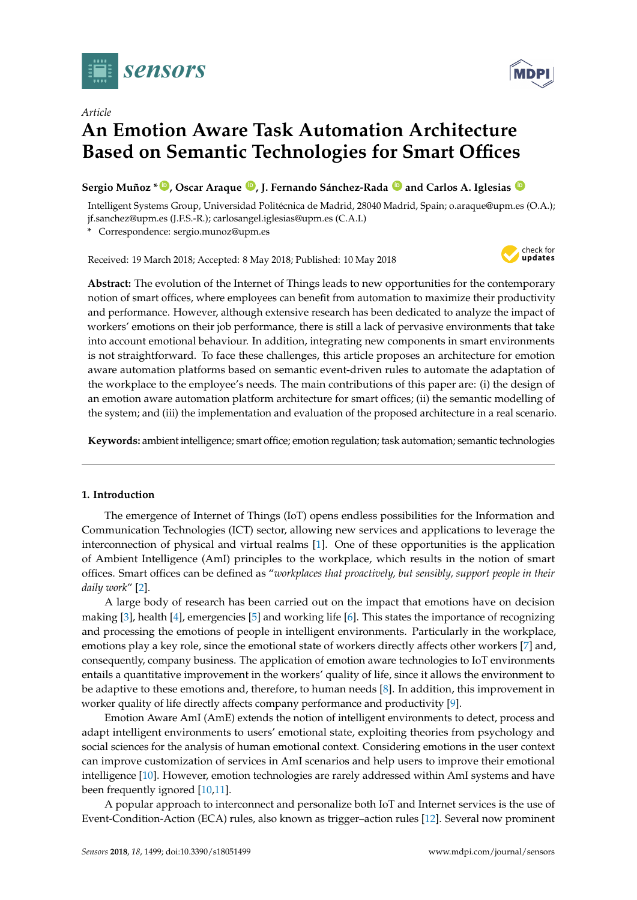

*Article*

# **An Emotion Aware Task Automation Architecture Based on Semantic Technologies for Smart Offices**

**Sergio Muñoz \* [ID](https://orcid.org/0000-0002-2070-8976) , Oscar Araque [ID](https://orcid.org/0000-0003-3224-0001) , J. Fernando Sánchez-Rada [ID](https://orcid.org/0000-0003-3545-9252) and Carlos A. Iglesias [ID](https://orcid.org/0000-0002-1755-2712)**

Intelligent Systems Group, Universidad Politécnica de Madrid, 28040 Madrid, Spain; o.araque@upm.es (O.A.); jf.sanchez@upm.es (J.F.S.-R.); carlosangel.iglesias@upm.es (C.A.I.)

**\*** Correspondence: sergio.munoz@upm.es

Received: 19 March 2018; Accepted: 8 May 2018; Published: 10 May 2018



**MDP** 

**Abstract:** The evolution of the Internet of Things leads to new opportunities for the contemporary notion of smart offices, where employees can benefit from automation to maximize their productivity and performance. However, although extensive research has been dedicated to analyze the impact of workers' emotions on their job performance, there is still a lack of pervasive environments that take into account emotional behaviour. In addition, integrating new components in smart environments is not straightforward. To face these challenges, this article proposes an architecture for emotion aware automation platforms based on semantic event-driven rules to automate the adaptation of the workplace to the employee's needs. The main contributions of this paper are: (i) the design of an emotion aware automation platform architecture for smart offices; (ii) the semantic modelling of the system; and (iii) the implementation and evaluation of the proposed architecture in a real scenario.

**Keywords:** ambient intelligence; smart office; emotion regulation; task automation; semantic technologies

# **1. Introduction**

The emergence of Internet of Things (IoT) opens endless possibilities for the Information and Communication Technologies (ICT) sector, allowing new services and applications to leverage the interconnection of physical and virtual realms [\[1\]](#page-14-0). One of these opportunities is the application of Ambient Intelligence (AmI) principles to the workplace, which results in the notion of smart offices. Smart offices can be defined as "*workplaces that proactively, but sensibly, support people in their daily work*" [\[2\]](#page-14-1).

A large body of research has been carried out on the impact that emotions have on decision making [\[3\]](#page-14-2), health [\[4\]](#page-15-0), emergencies [\[5\]](#page-15-1) and working life [\[6\]](#page-15-2). This states the importance of recognizing and processing the emotions of people in intelligent environments. Particularly in the workplace, emotions play a key role, since the emotional state of workers directly affects other workers [\[7\]](#page-15-3) and, consequently, company business. The application of emotion aware technologies to IoT environments entails a quantitative improvement in the workers' quality of life, since it allows the environment to be adaptive to these emotions and, therefore, to human needs [\[8\]](#page-15-4). In addition, this improvement in worker quality of life directly affects company performance and productivity [\[9\]](#page-15-5).

Emotion Aware AmI (AmE) extends the notion of intelligent environments to detect, process and adapt intelligent environments to users' emotional state, exploiting theories from psychology and social sciences for the analysis of human emotional context. Considering emotions in the user context can improve customization of services in AmI scenarios and help users to improve their emotional intelligence [\[10\]](#page-15-6). However, emotion technologies are rarely addressed within AmI systems and have been frequently ignored [\[10,](#page-15-6)[11\]](#page-15-7).

A popular approach to interconnect and personalize both IoT and Internet services is the use of Event-Condition-Action (ECA) rules, also known as trigger–action rules [\[12\]](#page-15-8). Several now prominent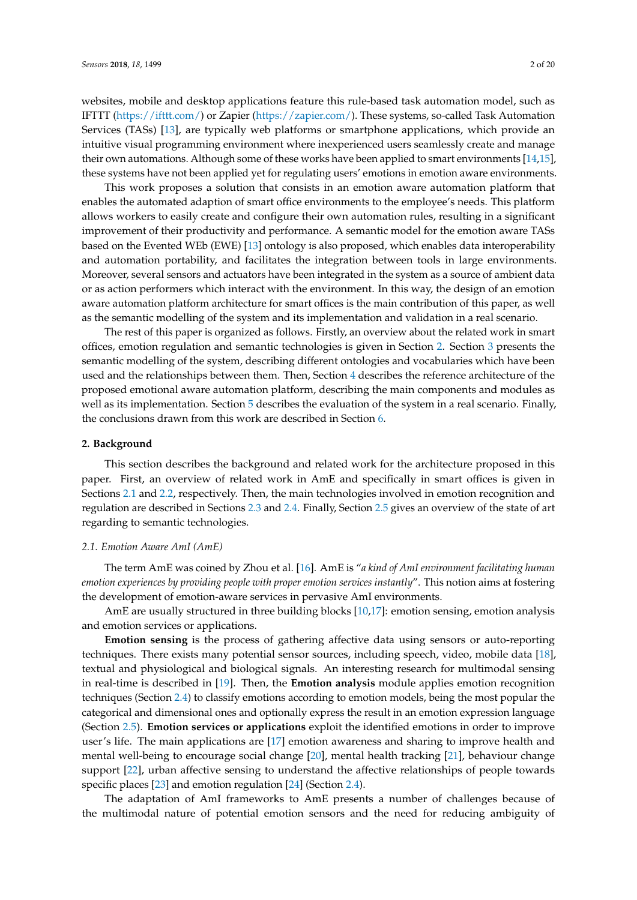websites, mobile and desktop applications feature this rule-based task automation model, such as IFTTT [\(https://ifttt.com/\)](https://ifttt.com/) or Zapier [\(https://zapier.com/\)](https://zapier.com/). These systems, so-called Task Automation Services (TASs) [\[13\]](#page-15-9), are typically web platforms or smartphone applications, which provide an intuitive visual programming environment where inexperienced users seamlessly create and manage their own automations. Although some of these works have been applied to smart environments [\[14](#page-15-10)[,15\]](#page-15-11), these systems have not been applied yet for regulating users' emotions in emotion aware environments.

This work proposes a solution that consists in an emotion aware automation platform that enables the automated adaption of smart office environments to the employee's needs. This platform allows workers to easily create and configure their own automation rules, resulting in a significant improvement of their productivity and performance. A semantic model for the emotion aware TASs based on the Evented WEb (EWE) [\[13\]](#page-15-9) ontology is also proposed, which enables data interoperability and automation portability, and facilitates the integration between tools in large environments. Moreover, several sensors and actuators have been integrated in the system as a source of ambient data or as action performers which interact with the environment. In this way, the design of an emotion aware automation platform architecture for smart offices is the main contribution of this paper, as well as the semantic modelling of the system and its implementation and validation in a real scenario.

The rest of this paper is organized as follows. Firstly, an overview about the related work in smart offices, emotion regulation and semantic technologies is given in Section [2.](#page-1-0) Section [3](#page-5-0) presents the semantic modelling of the system, describing different ontologies and vocabularies which have been used and the relationships between them. Then, Section [4](#page-7-0) describes the reference architecture of the proposed emotional aware automation platform, describing the main components and modules as well as its implementation. Section [5](#page-10-0) describes the evaluation of the system in a real scenario. Finally, the conclusions drawn from this work are described in Section [6.](#page-14-3)

# <span id="page-1-0"></span>**2. Background**

This section describes the background and related work for the architecture proposed in this paper. First, an overview of related work in AmE and specifically in smart offices is given in Sections [2.1](#page-1-1) and [2.2,](#page-2-0) respectively. Then, the main technologies involved in emotion recognition and regulation are described in Sections [2.3](#page-3-0) and [2.4.](#page-3-1) Finally, Section [2.5](#page-4-0) gives an overview of the state of art regarding to semantic technologies.

## <span id="page-1-1"></span>*2.1. Emotion Aware AmI (AmE)*

The term AmE was coined by Zhou et al. [\[16\]](#page-15-12). AmE is "*a kind of AmI environment facilitating human emotion experiences by providing people with proper emotion services instantly*". This notion aims at fostering the development of emotion-aware services in pervasive AmI environments.

AmE are usually structured in three building blocks [\[10,](#page-15-6)[17\]](#page-15-13): emotion sensing, emotion analysis and emotion services or applications.

**Emotion sensing** is the process of gathering affective data using sensors or auto-reporting techniques. There exists many potential sensor sources, including speech, video, mobile data [\[18\]](#page-15-14), textual and physiological and biological signals. An interesting research for multimodal sensing in real-time is described in [\[19\]](#page-15-15). Then, the **Emotion analysis** module applies emotion recognition techniques (Section [2.4\)](#page-3-1) to classify emotions according to emotion models, being the most popular the categorical and dimensional ones and optionally express the result in an emotion expression language (Section [2.5\)](#page-4-0). **Emotion services or applications** exploit the identified emotions in order to improve user's life. The main applications are [\[17\]](#page-15-13) emotion awareness and sharing to improve health and mental well-being to encourage social change [\[20\]](#page-15-16), mental health tracking [\[21\]](#page-15-17), behaviour change support [\[22\]](#page-15-18), urban affective sensing to understand the affective relationships of people towards specific places [\[23\]](#page-16-0) and emotion regulation [\[24\]](#page-16-1) (Section [2.4\)](#page-3-1).

The adaptation of AmI frameworks to AmE presents a number of challenges because of the multimodal nature of potential emotion sensors and the need for reducing ambiguity of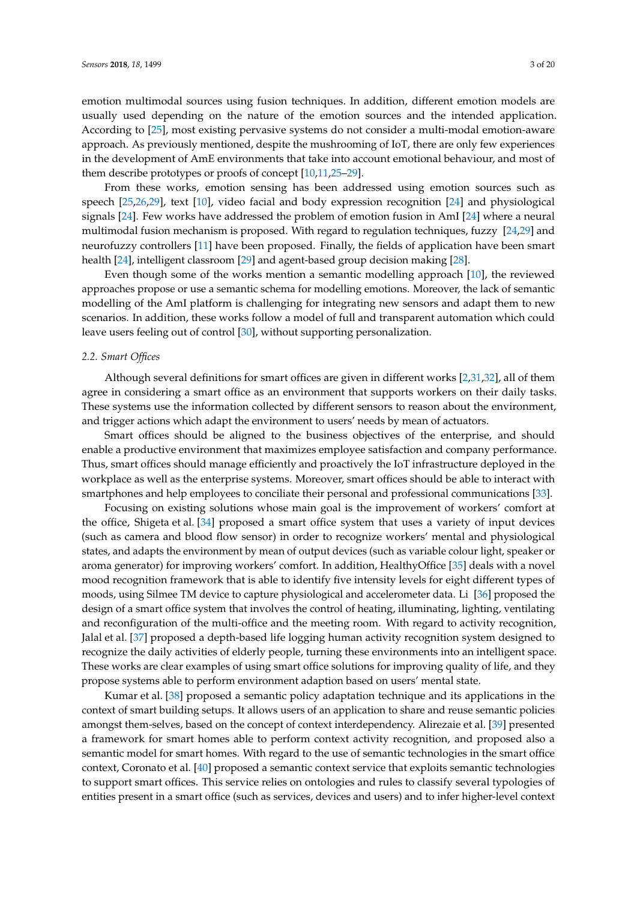emotion multimodal sources using fusion techniques. In addition, different emotion models are usually used depending on the nature of the emotion sources and the intended application. According to [\[25\]](#page-16-2), most existing pervasive systems do not consider a multi-modal emotion-aware approach. As previously mentioned, despite the mushrooming of IoT, there are only few experiences in the development of AmE environments that take into account emotional behaviour, and most of them describe prototypes or proofs of concept [\[10,](#page-15-6)[11](#page-15-7)[,25](#page-16-2)[–29\]](#page-16-3).

From these works, emotion sensing has been addressed using emotion sources such as speech [\[25](#page-16-2)[,26](#page-16-4)[,29\]](#page-16-3), text [\[10\]](#page-15-6), video facial and body expression recognition [\[24\]](#page-16-1) and physiological signals [\[24\]](#page-16-1). Few works have addressed the problem of emotion fusion in AmI [\[24\]](#page-16-1) where a neural multimodal fusion mechanism is proposed. With regard to regulation techniques, fuzzy [\[24](#page-16-1)[,29\]](#page-16-3) and neurofuzzy controllers [\[11\]](#page-15-7) have been proposed. Finally, the fields of application have been smart health [\[24\]](#page-16-1), intelligent classroom [\[29\]](#page-16-3) and agent-based group decision making [\[28\]](#page-16-5).

Even though some of the works mention a semantic modelling approach [\[10\]](#page-15-6), the reviewed approaches propose or use a semantic schema for modelling emotions. Moreover, the lack of semantic modelling of the AmI platform is challenging for integrating new sensors and adapt them to new scenarios. In addition, these works follow a model of full and transparent automation which could leave users feeling out of control [\[30\]](#page-16-6), without supporting personalization.

# <span id="page-2-0"></span>*2.2. Smart Offices*

Although several definitions for smart offices are given in different works [\[2](#page-14-1)[,31,](#page-16-7)[32\]](#page-16-8), all of them agree in considering a smart office as an environment that supports workers on their daily tasks. These systems use the information collected by different sensors to reason about the environment, and trigger actions which adapt the environment to users' needs by mean of actuators.

Smart offices should be aligned to the business objectives of the enterprise, and should enable a productive environment that maximizes employee satisfaction and company performance. Thus, smart offices should manage efficiently and proactively the IoT infrastructure deployed in the workplace as well as the enterprise systems. Moreover, smart offices should be able to interact with smartphones and help employees to conciliate their personal and professional communications [\[33\]](#page-16-9).

Focusing on existing solutions whose main goal is the improvement of workers' comfort at the office, Shigeta et al. [\[34\]](#page-16-10) proposed a smart office system that uses a variety of input devices (such as camera and blood flow sensor) in order to recognize workers' mental and physiological states, and adapts the environment by mean of output devices (such as variable colour light, speaker or aroma generator) for improving workers' comfort. In addition, HealthyOffice [\[35\]](#page-16-11) deals with a novel mood recognition framework that is able to identify five intensity levels for eight different types of moods, using Silmee TM device to capture physiological and accelerometer data. Li [\[36\]](#page-16-12) proposed the design of a smart office system that involves the control of heating, illuminating, lighting, ventilating and reconfiguration of the multi-office and the meeting room. With regard to activity recognition, Jalal et al. [\[37\]](#page-16-13) proposed a depth-based life logging human activity recognition system designed to recognize the daily activities of elderly people, turning these environments into an intelligent space. These works are clear examples of using smart office solutions for improving quality of life, and they propose systems able to perform environment adaption based on users' mental state.

Kumar et al. [\[38\]](#page-16-14) proposed a semantic policy adaptation technique and its applications in the context of smart building setups. It allows users of an application to share and reuse semantic policies amongst them-selves, based on the concept of context interdependency. Alirezaie et al. [\[39\]](#page-16-15) presented a framework for smart homes able to perform context activity recognition, and proposed also a semantic model for smart homes. With regard to the use of semantic technologies in the smart office context, Coronato et al. [\[40\]](#page-16-16) proposed a semantic context service that exploits semantic technologies to support smart offices. This service relies on ontologies and rules to classify several typologies of entities present in a smart office (such as services, devices and users) and to infer higher-level context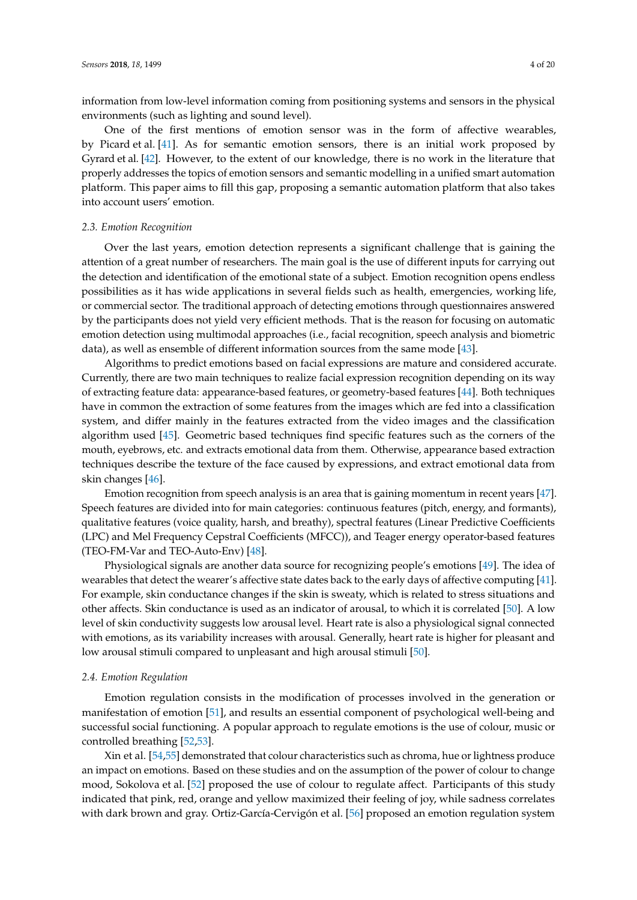information from low-level information coming from positioning systems and sensors in the physical environments (such as lighting and sound level).

One of the first mentions of emotion sensor was in the form of affective wearables, by Picard et al. [\[41\]](#page-16-17). As for semantic emotion sensors, there is an initial work proposed by Gyrard et al. [\[42\]](#page-16-18). However, to the extent of our knowledge, there is no work in the literature that properly addresses the topics of emotion sensors and semantic modelling in a unified smart automation platform. This paper aims to fill this gap, proposing a semantic automation platform that also takes into account users' emotion.

## <span id="page-3-0"></span>*2.3. Emotion Recognition*

Over the last years, emotion detection represents a significant challenge that is gaining the attention of a great number of researchers. The main goal is the use of different inputs for carrying out the detection and identification of the emotional state of a subject. Emotion recognition opens endless possibilities as it has wide applications in several fields such as health, emergencies, working life, or commercial sector. The traditional approach of detecting emotions through questionnaires answered by the participants does not yield very efficient methods. That is the reason for focusing on automatic emotion detection using multimodal approaches (i.e., facial recognition, speech analysis and biometric data), as well as ensemble of different information sources from the same mode [\[43\]](#page-17-0).

Algorithms to predict emotions based on facial expressions are mature and considered accurate. Currently, there are two main techniques to realize facial expression recognition depending on its way of extracting feature data: appearance-based features, or geometry-based features [\[44\]](#page-17-1). Both techniques have in common the extraction of some features from the images which are fed into a classification system, and differ mainly in the features extracted from the video images and the classification algorithm used [\[45\]](#page-17-2). Geometric based techniques find specific features such as the corners of the mouth, eyebrows, etc. and extracts emotional data from them. Otherwise, appearance based extraction techniques describe the texture of the face caused by expressions, and extract emotional data from skin changes [\[46\]](#page-17-3).

Emotion recognition from speech analysis is an area that is gaining momentum in recent years [\[47\]](#page-17-4). Speech features are divided into for main categories: continuous features (pitch, energy, and formants), qualitative features (voice quality, harsh, and breathy), spectral features (Linear Predictive Coefficients (LPC) and Mel Frequency Cepstral Coefficients (MFCC)), and Teager energy operator-based features (TEO-FM-Var and TEO-Auto-Env) [\[48\]](#page-17-5).

Physiological signals are another data source for recognizing people's emotions [\[49\]](#page-17-6). The idea of wearables that detect the wearer's affective state dates back to the early days of affective computing [\[41\]](#page-16-17). For example, skin conductance changes if the skin is sweaty, which is related to stress situations and other affects. Skin conductance is used as an indicator of arousal, to which it is correlated [\[50\]](#page-17-7). A low level of skin conductivity suggests low arousal level. Heart rate is also a physiological signal connected with emotions, as its variability increases with arousal. Generally, heart rate is higher for pleasant and low arousal stimuli compared to unpleasant and high arousal stimuli [\[50\]](#page-17-7).

#### <span id="page-3-1"></span>*2.4. Emotion Regulation*

Emotion regulation consists in the modification of processes involved in the generation or manifestation of emotion [\[51\]](#page-17-8), and results an essential component of psychological well-being and successful social functioning. A popular approach to regulate emotions is the use of colour, music or controlled breathing [\[52](#page-17-9)[,53\]](#page-17-10).

Xin et al. [\[54](#page-17-11)[,55\]](#page-17-12) demonstrated that colour characteristics such as chroma, hue or lightness produce an impact on emotions. Based on these studies and on the assumption of the power of colour to change mood, Sokolova et al. [\[52\]](#page-17-9) proposed the use of colour to regulate affect. Participants of this study indicated that pink, red, orange and yellow maximized their feeling of joy, while sadness correlates with dark brown and gray. Ortiz-García-Cervigón et al. [\[56\]](#page-17-13) proposed an emotion regulation system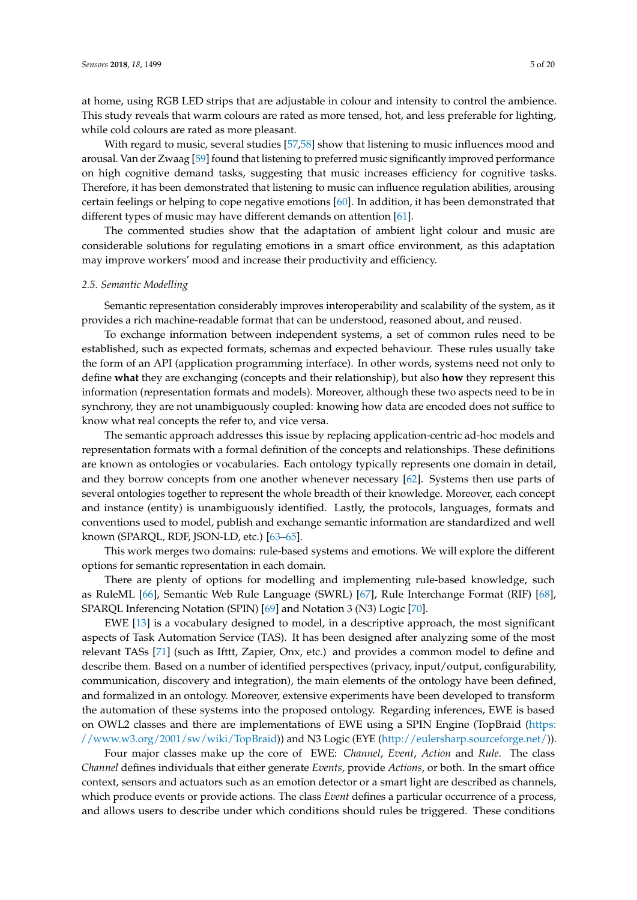at home, using RGB LED strips that are adjustable in colour and intensity to control the ambience. This study reveals that warm colours are rated as more tensed, hot, and less preferable for lighting, while cold colours are rated as more pleasant.

With regard to music, several studies [\[57,](#page-17-14)[58\]](#page-17-15) show that listening to music influences mood and arousal. Van der Zwaag [\[59\]](#page-17-16) found that listening to preferred music significantly improved performance on high cognitive demand tasks, suggesting that music increases efficiency for cognitive tasks. Therefore, it has been demonstrated that listening to music can influence regulation abilities, arousing certain feelings or helping to cope negative emotions [\[60\]](#page-17-17). In addition, it has been demonstrated that different types of music may have different demands on attention [\[61\]](#page-17-18).

The commented studies show that the adaptation of ambient light colour and music are considerable solutions for regulating emotions in a smart office environment, as this adaptation may improve workers' mood and increase their productivity and efficiency.

## <span id="page-4-0"></span>*2.5. Semantic Modelling*

Semantic representation considerably improves interoperability and scalability of the system, as it provides a rich machine-readable format that can be understood, reasoned about, and reused.

To exchange information between independent systems, a set of common rules need to be established, such as expected formats, schemas and expected behaviour. These rules usually take the form of an API (application programming interface). In other words, systems need not only to define **what** they are exchanging (concepts and their relationship), but also **how** they represent this information (representation formats and models). Moreover, although these two aspects need to be in synchrony, they are not unambiguously coupled: knowing how data are encoded does not suffice to know what real concepts the refer to, and vice versa.

The semantic approach addresses this issue by replacing application-centric ad-hoc models and representation formats with a formal definition of the concepts and relationships. These definitions are known as ontologies or vocabularies. Each ontology typically represents one domain in detail, and they borrow concepts from one another whenever necessary [\[62\]](#page-17-19). Systems then use parts of several ontologies together to represent the whole breadth of their knowledge. Moreover, each concept and instance (entity) is unambiguously identified. Lastly, the protocols, languages, formats and conventions used to model, publish and exchange semantic information are standardized and well known (SPARQL, RDF, JSON-LD, etc.) [\[63](#page-17-20)[–65\]](#page-17-21).

This work merges two domains: rule-based systems and emotions. We will explore the different options for semantic representation in each domain.

There are plenty of options for modelling and implementing rule-based knowledge, such as RuleML [\[66\]](#page-18-0), Semantic Web Rule Language (SWRL) [\[67\]](#page-18-1), Rule Interchange Format (RIF) [\[68\]](#page-18-2), SPARQL Inferencing Notation (SPIN) [\[69\]](#page-18-3) and Notation 3 (N3) Logic [\[70\]](#page-18-4).

EWE [\[13\]](#page-15-9) is a vocabulary designed to model, in a descriptive approach, the most significant aspects of Task Automation Service (TAS). It has been designed after analyzing some of the most relevant TASs [\[71\]](#page-18-5) (such as Ifttt, Zapier, Onx, etc.) and provides a common model to define and describe them. Based on a number of identified perspectives (privacy, input/output, configurability, communication, discovery and integration), the main elements of the ontology have been defined, and formalized in an ontology. Moreover, extensive experiments have been developed to transform the automation of these systems into the proposed ontology. Regarding inferences, EWE is based on OWL2 classes and there are implementations of EWE using a SPIN Engine (TopBraid [\(https:](https://www.w3.org/2001/sw/wiki/TopBraid) [//www.w3.org/2001/sw/wiki/TopBraid\)](https://www.w3.org/2001/sw/wiki/TopBraid)) and N3 Logic (EYE [\(http://eulersharp.sourceforge.net/\)](http://eulersharp.sourceforge.net/)).

Four major classes make up the core of EWE: *Channel*, *Event*, *Action* and *Rule*. The class *Channel* defines individuals that either generate *Events*, provide *Actions*, or both. In the smart office context, sensors and actuators such as an emotion detector or a smart light are described as channels, which produce events or provide actions. The class *Event* defines a particular occurrence of a process, and allows users to describe under which conditions should rules be triggered. These conditions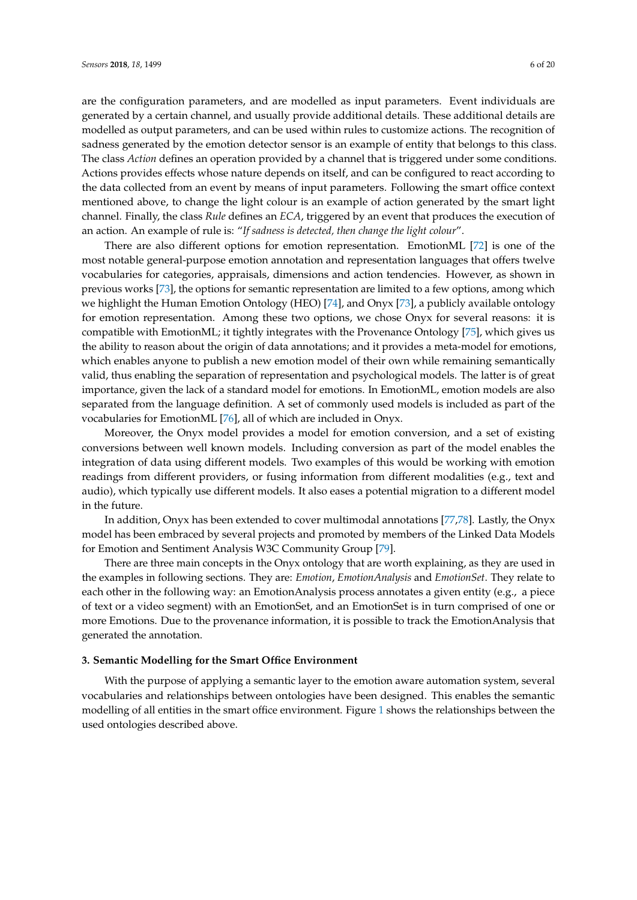are the configuration parameters, and are modelled as input parameters. Event individuals are generated by a certain channel, and usually provide additional details. These additional details are modelled as output parameters, and can be used within rules to customize actions. The recognition of sadness generated by the emotion detector sensor is an example of entity that belongs to this class. The class *Action* defines an operation provided by a channel that is triggered under some conditions. Actions provides effects whose nature depends on itself, and can be configured to react according to the data collected from an event by means of input parameters. Following the smart office context mentioned above, to change the light colour is an example of action generated by the smart light channel. Finally, the class *Rule* defines an *ECA*, triggered by an event that produces the execution of an action. An example of rule is: "*If sadness is detected, then change the light colour*".

There are also different options for emotion representation. EmotionML [\[72\]](#page-18-6) is one of the most notable general-purpose emotion annotation and representation languages that offers twelve vocabularies for categories, appraisals, dimensions and action tendencies. However, as shown in previous works [\[73\]](#page-18-7), the options for semantic representation are limited to a few options, among which we highlight the Human Emotion Ontology (HEO) [\[74\]](#page-18-8), and Onyx [\[73\]](#page-18-7), a publicly available ontology for emotion representation. Among these two options, we chose Onyx for several reasons: it is compatible with EmotionML; it tightly integrates with the Provenance Ontology [\[75\]](#page-18-9), which gives us the ability to reason about the origin of data annotations; and it provides a meta-model for emotions, which enables anyone to publish a new emotion model of their own while remaining semantically valid, thus enabling the separation of representation and psychological models. The latter is of great importance, given the lack of a standard model for emotions. In EmotionML, emotion models are also separated from the language definition. A set of commonly used models is included as part of the vocabularies for EmotionML [\[76\]](#page-18-10), all of which are included in Onyx.

Moreover, the Onyx model provides a model for emotion conversion, and a set of existing conversions between well known models. Including conversion as part of the model enables the integration of data using different models. Two examples of this would be working with emotion readings from different providers, or fusing information from different modalities (e.g., text and audio), which typically use different models. It also eases a potential migration to a different model in the future.

In addition, Onyx has been extended to cover multimodal annotations [\[77](#page-18-11)[,78\]](#page-18-12). Lastly, the Onyx model has been embraced by several projects and promoted by members of the Linked Data Models for Emotion and Sentiment Analysis W3C Community Group [\[79\]](#page-18-13).

There are three main concepts in the Onyx ontology that are worth explaining, as they are used in the examples in following sections. They are: *Emotion*, *EmotionAnalysis* and *EmotionSet*. They relate to each other in the following way: an EmotionAnalysis process annotates a given entity (e.g., a piece of text or a video segment) with an EmotionSet, and an EmotionSet is in turn comprised of one or more Emotions. Due to the provenance information, it is possible to track the EmotionAnalysis that generated the annotation.

# <span id="page-5-0"></span>**3. Semantic Modelling for the Smart Office Environment**

With the purpose of applying a semantic layer to the emotion aware automation system, several vocabularies and relationships between ontologies have been designed. This enables the semantic modelling of all entities in the smart office environment. Figure [1](#page-6-0) shows the relationships between the used ontologies described above.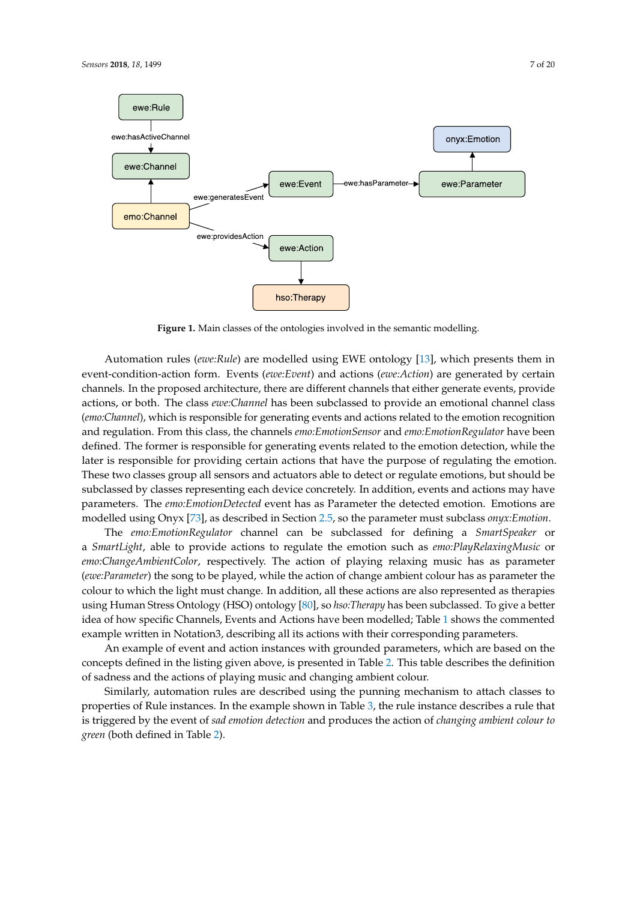<span id="page-6-0"></span>

**Figure 1.** Main classes of the ontologies involved in the semantic modelling.

Automation rules (*ewe:Rule*) are modelled using EWE ontology [\[13\]](#page-15-9), which presents them in event-condition-action form. Events (*ewe:Event*) and actions (*ewe:Action*) are generated by certain channels. In the proposed architecture, there are different channels that either generate events, provide actions, or both. The class *ewe:Channel* has been subclassed to provide an emotional channel class (*emo:Channel*), which is responsible for generating events and actions related to the emotion recognition and regulation. From this class, the channels *emo:EmotionSensor* and *emo:EmotionRegulator* have been defined. The former is responsible for generating events related to the emotion detection, while the later is responsible for providing certain actions that have the purpose of regulating the emotion. These two classes group all sensors and actuators able to detect or regulate emotions, but should be subclassed by classes representing each device concretely. In addition, events and actions may have parameters. The *emo:EmotionDetected* event has as Parameter the detected emotion. Emotions are modelled using Onyx [\[73\]](#page-18-7), as described in Section [2.5,](#page-4-0) so the parameter must subclass *onyx:Emotion*.

The *emo:EmotionRegulator* channel can be subclassed for defining a *SmartSpeaker* or a *SmartLight*, able to provide actions to regulate the emotion such as *emo:PlayRelaxingMusic* or *emo:ChangeAmbientColor*, respectively. The action of playing relaxing music has as parameter (*ewe:Parameter*) the song to be played, while the action of change ambient colour has as parameter the colour to which the light must change. In addition, all these actions are also represented as therapies using Human Stress Ontology (HSO) ontology [\[80\]](#page-18-14), so *hso:Therapy* has been subclassed. To give a better idea of how specific Channels, Events and Actions have been modelled; Table [1](#page-7-1) shows the commented example written in Notation3, describing all its actions with their corresponding parameters.

An example of event and action instances with grounded parameters, which are based on the concepts defined in the listing given above, is presented in Table [2.](#page-7-2) This table describes the definition of sadness and the actions of playing music and changing ambient colour.

Similarly, automation rules are described using the punning mechanism to attach classes to properties of Rule instances. In the example shown in Table [3,](#page-7-3) the rule instance describes a rule that is triggered by the event of *sad emotion detection* and produces the action of *changing ambient colour to green* (both defined in Table [2\)](#page-7-2).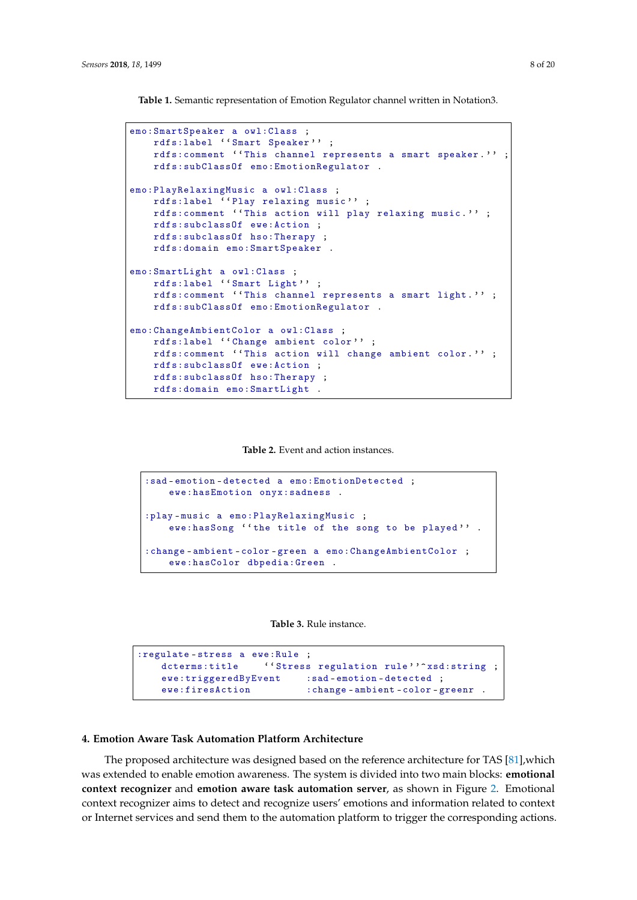<span id="page-7-1"></span>**Table 1.** Semantic representation of Emotion Regulator channel written in Notation3.

```
emo:SmartSpeaker a owl:Class ;
   rdfs:label ''Smart Speaker '' ;
   rdfs:comment ''This channel represents a smart speaker .'' ;
   rdfs:subClassOf emo:EmotionRegulator .
emo:PlayRelaxingMusic a owl:Class ;
   rdfs:label ''Play relaxing music '' ;
   rdfs:comment ''This action will play relaxing music .'' ;
   rdfs:subclassOf ewe:Action ;
   rdfs:subclassOf hso:Therapy ;
   rdfs:domain emo:SmartSpeaker .
emo:SmartLight a owl:Class ;
   rdfs:label ''Smart Light '' ;
   rdfs:comment ''This channel represents a smart light.'';
   rdfs:subClassOf emo:EmotionRegulator .
emo:ChangeAmbientColor a owl:Class ;
   rdfs:label '' Change ambient color '' ;
   rdfs:comment ''This action will change ambient color .'' ;
   rdfs:subclassOf ewe:Action ;
   rdfs:subclassOf hso:Therapy ;
   rdfs:domain emo:SmartLight .
```
**Table 2.** Event and action instances.

```
:sad - emotion - detected a emo:EmotionDetected ;
   ewe:hasEmotion onyx:sadness .
:play - music a emo:PlayRelaxingMusic ;
    ewe:hasSong ''the title of the song to be played'' .
:change - ambient -color - green a emo:ChangeAmbientColor ;
    ewe:hasColor dbpedia:Green .
```


```
:regulate - stress a ewe:Rule ;
   dcterms:title ''Stress regulation rule''<sup>*</sup> xsd:string ;
   ewe:triggeredByEvent :sad-emotion-detected ;
   ewe:firesAction : change - ambient - color - greenr .
```
## <span id="page-7-0"></span>**4. Emotion Aware Task Automation Platform Architecture**

The proposed architecture was designed based on the reference architecture for TAS [\[81\]](#page-18-15),which was extended to enable emotion awareness. The system is divided into two main blocks: **emotional context recognizer** and **emotion aware task automation server**, as shown in Figure [2.](#page-8-0) Emotional context recognizer aims to detect and recognize users' emotions and information related to context or Internet services and send them to the automation platform to trigger the corresponding actions.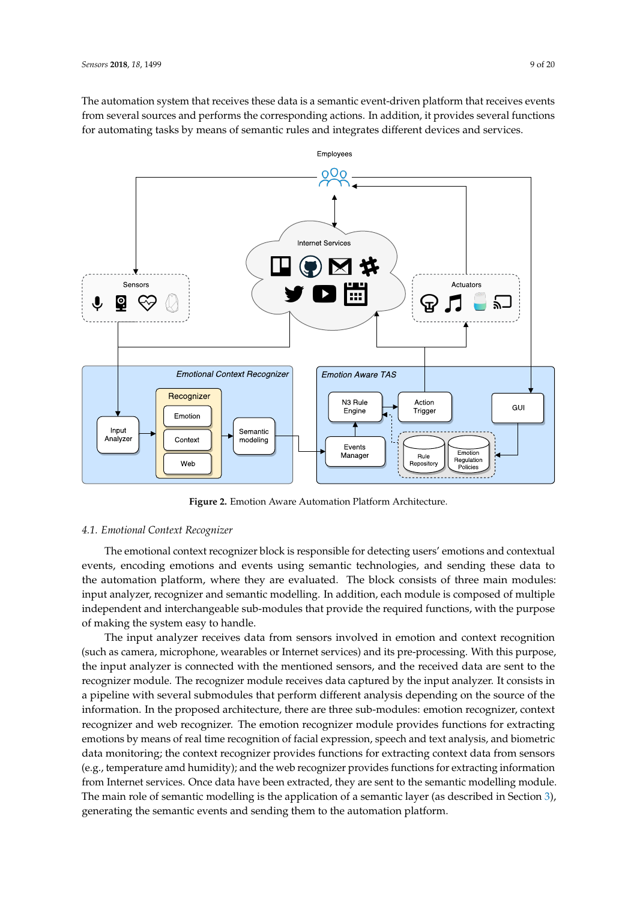The automation system that receives these data is a semantic event-driven platform that receives events from several sources and performs the corresponding actions. In addition, it provides several functions for automating tasks by means of semantic rules and integrates different devices and services.

<span id="page-8-0"></span>

**Figure 2.** Emotion Aware Automation Platform Architecture.

# *4.1. Emotional Context Recognizer*

The emotional context recognizer block is responsible for detecting users' emotions and contextual events, encoding emotions and events using semantic technologies, and sending these data to the automation platform, where they are evaluated. The block consists of three main modules: input analyzer, recognizer and semantic modelling. In addition, each module is composed of multiple independent and interchangeable sub-modules that provide the required functions, with the purpose of making the system easy to handle.

The input analyzer receives data from sensors involved in emotion and context recognition (such as camera, microphone, wearables or Internet services) and its pre-processing. With this purpose, the input analyzer is connected with the mentioned sensors, and the received data are sent to the recognizer module. The recognizer module receives data captured by the input analyzer. It consists in a pipeline with several submodules that perform different analysis depending on the source of the information. In the proposed architecture, there are three sub-modules: emotion recognizer, context recognizer and web recognizer. The emotion recognizer module provides functions for extracting emotions by means of real time recognition of facial expression, speech and text analysis, and biometric data monitoring; the context recognizer provides functions for extracting context data from sensors (e.g., temperature amd humidity); and the web recognizer provides functions for extracting information from Internet services. Once data have been extracted, they are sent to the semantic modelling module. The main role of semantic modelling is the application of a semantic layer (as described in Section [3\)](#page-5-0), generating the semantic events and sending them to the automation platform.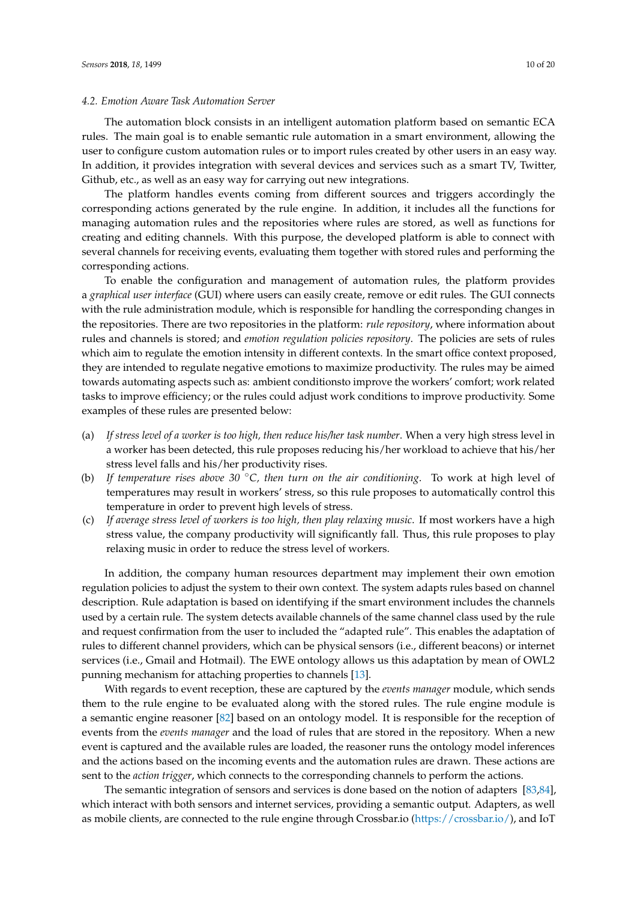## *4.2. Emotion Aware Task Automation Server*

The automation block consists in an intelligent automation platform based on semantic ECA rules. The main goal is to enable semantic rule automation in a smart environment, allowing the user to configure custom automation rules or to import rules created by other users in an easy way. In addition, it provides integration with several devices and services such as a smart TV, Twitter, Github, etc., as well as an easy way for carrying out new integrations.

The platform handles events coming from different sources and triggers accordingly the corresponding actions generated by the rule engine. In addition, it includes all the functions for managing automation rules and the repositories where rules are stored, as well as functions for creating and editing channels. With this purpose, the developed platform is able to connect with several channels for receiving events, evaluating them together with stored rules and performing the corresponding actions.

To enable the configuration and management of automation rules, the platform provides a *graphical user interface* (GUI) where users can easily create, remove or edit rules. The GUI connects with the rule administration module, which is responsible for handling the corresponding changes in the repositories. There are two repositories in the platform: *rule repository*, where information about rules and channels is stored; and *emotion regulation policies repository*. The policies are sets of rules which aim to regulate the emotion intensity in different contexts. In the smart office context proposed, they are intended to regulate negative emotions to maximize productivity. The rules may be aimed towards automating aspects such as: ambient conditionsto improve the workers' comfort; work related tasks to improve efficiency; or the rules could adjust work conditions to improve productivity. Some examples of these rules are presented below:

- (a) *If stress level of a worker is too high, then reduce his/her task number*. When a very high stress level in a worker has been detected, this rule proposes reducing his/her workload to achieve that his/her stress level falls and his/her productivity rises.
- (b) *If temperature rises above 30* ◦*C, then turn on the air conditioning*. To work at high level of temperatures may result in workers' stress, so this rule proposes to automatically control this temperature in order to prevent high levels of stress.
- (c) *If average stress level of workers is too high, then play relaxing music*. If most workers have a high stress value, the company productivity will significantly fall. Thus, this rule proposes to play relaxing music in order to reduce the stress level of workers.

In addition, the company human resources department may implement their own emotion regulation policies to adjust the system to their own context. The system adapts rules based on channel description. Rule adaptation is based on identifying if the smart environment includes the channels used by a certain rule. The system detects available channels of the same channel class used by the rule and request confirmation from the user to included the "adapted rule". This enables the adaptation of rules to different channel providers, which can be physical sensors (i.e., different beacons) or internet services (i.e., Gmail and Hotmail). The EWE ontology allows us this adaptation by mean of OWL2 punning mechanism for attaching properties to channels [\[13\]](#page-15-9).

With regards to event reception, these are captured by the *events manager* module, which sends them to the rule engine to be evaluated along with the stored rules. The rule engine module is a semantic engine reasoner [\[82\]](#page-18-16) based on an ontology model. It is responsible for the reception of events from the *events manager* and the load of rules that are stored in the repository. When a new event is captured and the available rules are loaded, the reasoner runs the ontology model inferences and the actions based on the incoming events and the automation rules are drawn. These actions are sent to the *action trigger*, which connects to the corresponding channels to perform the actions.

The semantic integration of sensors and services is done based on the notion of adapters [\[83](#page-18-17)[,84\]](#page-18-18), which interact with both sensors and internet services, providing a semantic output. Adapters, as well as mobile clients, are connected to the rule engine through Crossbar.io [\(https://crossbar.io/\)](https://crossbar.io/), and IoT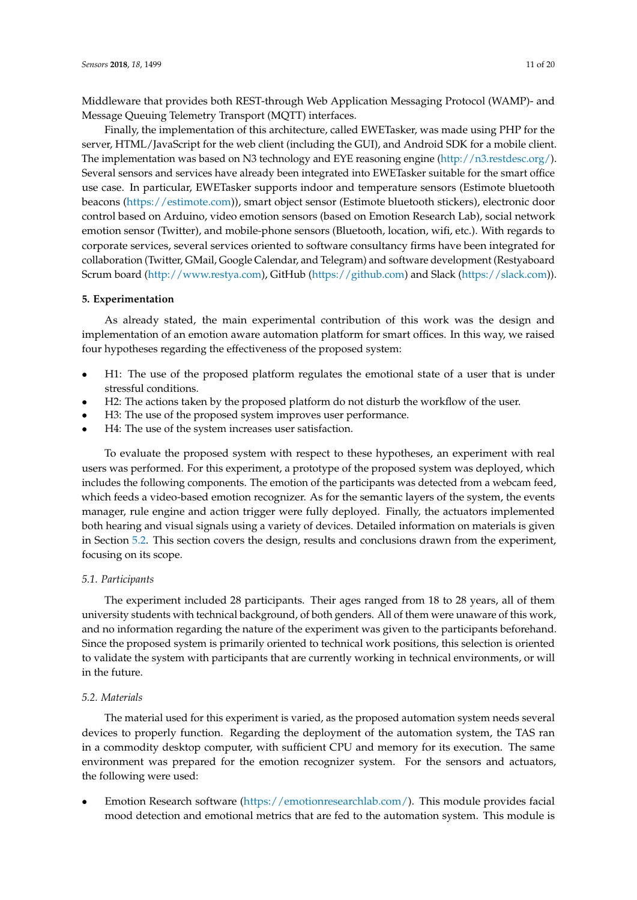Middleware that provides both REST-through Web Application Messaging Protocol (WAMP)- and Message Queuing Telemetry Transport (MQTT) interfaces.

Finally, the implementation of this architecture, called EWETasker, was made using PHP for the server, HTML/JavaScript for the web client (including the GUI), and Android SDK for a mobile client. The implementation was based on N3 technology and EYE reasoning engine [\(http://n3.restdesc.org/\)](http://n3.restdesc.org/). Several sensors and services have already been integrated into EWETasker suitable for the smart office use case. In particular, EWETasker supports indoor and temperature sensors (Estimote bluetooth beacons [\(https://estimote.com\)](https://estimote.com)), smart object sensor (Estimote bluetooth stickers), electronic door control based on Arduino, video emotion sensors (based on Emotion Research Lab), social network emotion sensor (Twitter), and mobile-phone sensors (Bluetooth, location, wifi, etc.). With regards to corporate services, several services oriented to software consultancy firms have been integrated for collaboration (Twitter, GMail, Google Calendar, and Telegram) and software development (Restyaboard Scrum board [\(http://www.restya.com\)](http://www.restya.com), GitHub [\(https://github.com\)](https://github.com) and Slack [\(https://slack.com\)](https://slack.com)).

# <span id="page-10-0"></span>**5. Experimentation**

As already stated, the main experimental contribution of this work was the design and implementation of an emotion aware automation platform for smart offices. In this way, we raised four hypotheses regarding the effectiveness of the proposed system:

- H1: The use of the proposed platform regulates the emotional state of a user that is under stressful conditions.
- H2: The actions taken by the proposed platform do not disturb the workflow of the user.
- H3: The use of the proposed system improves user performance.
- H4: The use of the system increases user satisfaction.

To evaluate the proposed system with respect to these hypotheses, an experiment with real users was performed. For this experiment, a prototype of the proposed system was deployed, which includes the following components. The emotion of the participants was detected from a webcam feed, which feeds a video-based emotion recognizer. As for the semantic layers of the system, the events manager, rule engine and action trigger were fully deployed. Finally, the actuators implemented both hearing and visual signals using a variety of devices. Detailed information on materials is given in Section [5.2.](#page-10-1) This section covers the design, results and conclusions drawn from the experiment, focusing on its scope.

## *5.1. Participants*

The experiment included 28 participants. Their ages ranged from 18 to 28 years, all of them university students with technical background, of both genders. All of them were unaware of this work, and no information regarding the nature of the experiment was given to the participants beforehand. Since the proposed system is primarily oriented to technical work positions, this selection is oriented to validate the system with participants that are currently working in technical environments, or will in the future.

## <span id="page-10-1"></span>*5.2. Materials*

The material used for this experiment is varied, as the proposed automation system needs several devices to properly function. Regarding the deployment of the automation system, the TAS ran in a commodity desktop computer, with sufficient CPU and memory for its execution. The same environment was prepared for the emotion recognizer system. For the sensors and actuators, the following were used:

• Emotion Research software [\(https://emotionresearchlab.com/\)](https://emotionresearchlab.com/). This module provides facial mood detection and emotional metrics that are fed to the automation system. This module is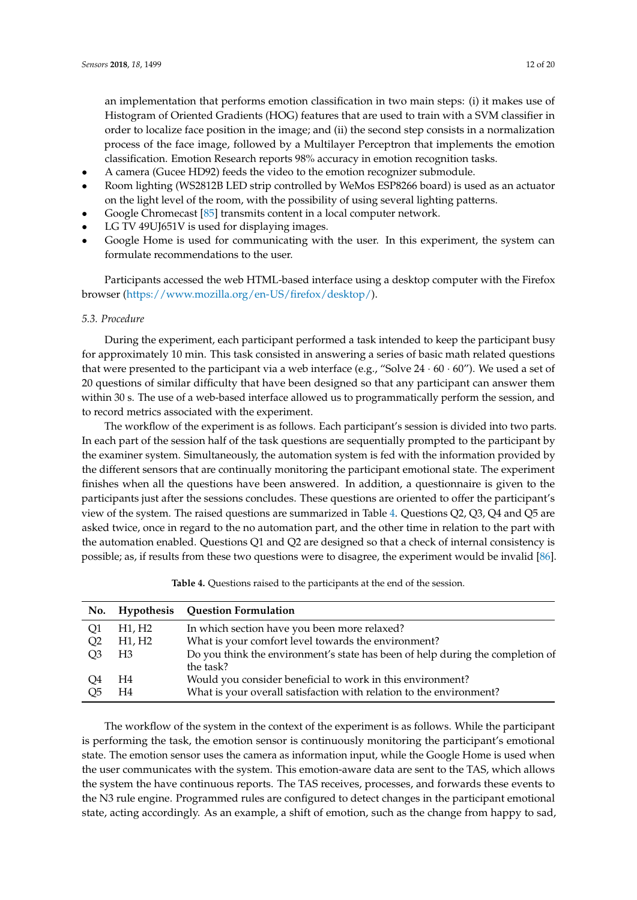an implementation that performs emotion classification in two main steps: (i) it makes use of Histogram of Oriented Gradients (HOG) features that are used to train with a SVM classifier in order to localize face position in the image; and (ii) the second step consists in a normalization

- classification. Emotion Research reports 98% accuracy in emotion recognition tasks.
- A camera (Gucee HD92) feeds the video to the emotion recognizer submodule.
- Room lighting (WS2812B LED strip controlled by WeMos ESP8266 board) is used as an actuator on the light level of the room, with the possibility of using several lighting patterns.

process of the face image, followed by a Multilayer Perceptron that implements the emotion

- Google Chromecast [\[85\]](#page-18-19) transmits content in a local computer network.
- LG TV 49UJ651V is used for displaying images.
- Google Home is used for communicating with the user. In this experiment, the system can formulate recommendations to the user.

Participants accessed the web HTML-based interface using a desktop computer with the Firefox browser [\(https://www.mozilla.org/en-US/firefox/desktop/\)](https://www.mozilla.org/en-US/firefox/desktop/).

# *5.3. Procedure*

During the experiment, each participant performed a task intended to keep the participant busy for approximately 10 min. This task consisted in answering a series of basic math related questions that were presented to the participant via a web interface (e.g., "Solve  $24 \cdot 60 \cdot 60$ "). We used a set of 20 questions of similar difficulty that have been designed so that any participant can answer them within 30 s. The use of a web-based interface allowed us to programmatically perform the session, and to record metrics associated with the experiment.

The workflow of the experiment is as follows. Each participant's session is divided into two parts. In each part of the session half of the task questions are sequentially prompted to the participant by the examiner system. Simultaneously, the automation system is fed with the information provided by the different sensors that are continually monitoring the participant emotional state. The experiment finishes when all the questions have been answered. In addition, a questionnaire is given to the participants just after the sessions concludes. These questions are oriented to offer the participant's view of the system. The raised questions are summarized in Table [4.](#page-11-0) Questions Q2, Q3, Q4 and Q5 are asked twice, once in regard to the no automation part, and the other time in relation to the part with the automation enabled. Questions Q1 and Q2 are designed so that a check of internal consistency is possible; as, if results from these two questions were to disagree, the experiment would be invalid [\[86\]](#page-19-0).

<span id="page-11-0"></span>

| No.            |                | Hypothesis Question Formulation                                                             |
|----------------|----------------|---------------------------------------------------------------------------------------------|
| O1             | H1, H2         | In which section have you been more relaxed?                                                |
| Q2             | H1, H2         | What is your comfort level towards the environment?                                         |
| O <sub>3</sub> | H <sub>3</sub> | Do you think the environment's state has been of help during the completion of<br>the task? |
| O4             | H4             | Would you consider beneficial to work in this environment?                                  |
| O <sub>5</sub> | H4             | What is your overall satisfaction with relation to the environment?                         |

**Table 4.** Questions raised to the participants at the end of the session.

The workflow of the system in the context of the experiment is as follows. While the participant is performing the task, the emotion sensor is continuously monitoring the participant's emotional state. The emotion sensor uses the camera as information input, while the Google Home is used when the user communicates with the system. This emotion-aware data are sent to the TAS, which allows the system the have continuous reports. The TAS receives, processes, and forwards these events to the N3 rule engine. Programmed rules are configured to detect changes in the participant emotional state, acting accordingly. As an example, a shift of emotion, such as the change from happy to sad,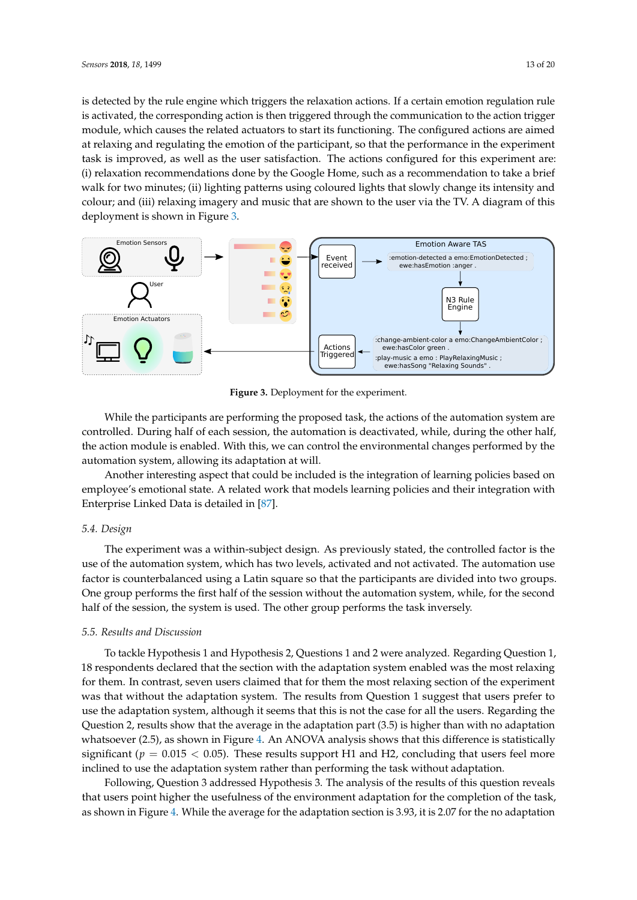is detected by the rule engine which triggers the relaxation actions. If a certain emotion regulation rule is activated, the corresponding action is then triggered through the communication to the action trigger module, which causes the related actuators to start its functioning. The configured actions are aimed at relaxing and regulating the emotion of the participant, so that the performance in the experiment task is improved, as well as the user satisfaction. The actions configured for this experiment are: (i) relaxation recommendations done by the Google Home, such as a recommendation to take a brief walk for two minutes; (ii) lighting patterns using coloured lights that slowly change its intensity and colour; and (iii) relaxing imagery and music that are shown to the user via the TV. A diagram of this deployment is shown in Figure [3.](#page-12-0)

<span id="page-12-0"></span>

**Figure 3.** Deployment for the experiment.

While the participants are performing the proposed task, the actions of the automation system are controlled. During half of each session, the automation is deactivated, while, during the other half, the action module is enabled. With this, we can control the environmental changes performed by the automation system, allowing its adaptation at will.

Another interesting aspect that could be included is the integration of learning policies based on employee's emotional state. A related work that models learning policies and their integration with Enterprise Linked Data is detailed in [\[87\]](#page-19-1).

## *5.4. Design*

The experiment was a within-subject design. As previously stated, the controlled factor is the use of the automation system, which has two levels, activated and not activated. The automation use factor is counterbalanced using a Latin square so that the participants are divided into two groups. One group performs the first half of the session without the automation system, while, for the second half of the session, the system is used. The other group performs the task inversely.

#### *5.5. Results and Discussion*

To tackle Hypothesis 1 and Hypothesis 2, Questions 1 and 2 were analyzed. Regarding Question 1, 18 respondents declared that the section with the adaptation system enabled was the most relaxing for them. In contrast, seven users claimed that for them the most relaxing section of the experiment was that without the adaptation system. The results from Question 1 suggest that users prefer to use the adaptation system, although it seems that this is not the case for all the users. Regarding the Question 2, results show that the average in the adaptation part (3.5) is higher than with no adaptation whatsoever (2.5), as shown in Figure [4.](#page-13-0) An ANOVA analysis shows that this difference is statistically significant ( $p = 0.015 < 0.05$ ). These results support H1 and H2, concluding that users feel more inclined to use the adaptation system rather than performing the task without adaptation.

Following, Question 3 addressed Hypothesis 3. The analysis of the results of this question reveals that users point higher the usefulness of the environment adaptation for the completion of the task, as shown in Figure [4.](#page-13-0) While the average for the adaptation section is 3.93, it is 2.07 for the no adaptation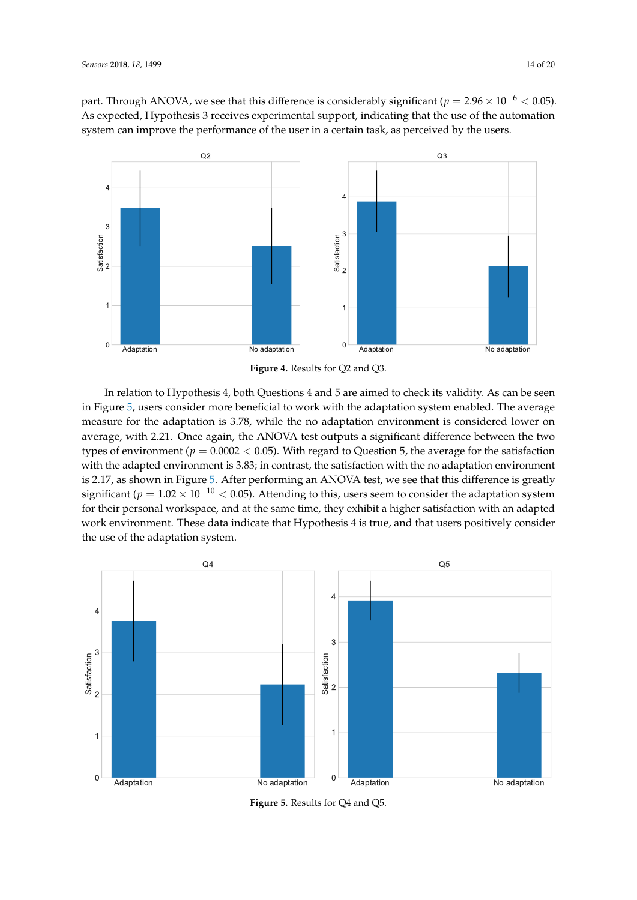<span id="page-13-0"></span>

part. Through ANOVA, we see that this difference is considerably significant (*p* = 2.96 × 10−<sup>6</sup> < 0.05). As expected, Hypothesis 3 receives experimental support, indicating that the use of the automation system can improve the performance of the user in a certain task, as perceived by the users.

**Figure 4.** Results for Q2 and Q3.

In relation to Hypothesis 4, both Questions 4 and 5 are aimed to check its validity. As can be seen in Figure [5,](#page-13-1) users consider more beneficial to work with the adaptation system enabled. The average measure for the adaptation is 3.78, while the no adaptation environment is considered lower on average, with 2.21. Once again, the ANOVA test outputs a significant difference between the two types of environment ( $p = 0.0002 < 0.05$ ). With regard to Question 5, the average for the satisfaction with the adapted environment is 3.83; in contrast, the satisfaction with the no adaptation environment is 2.17, as shown in Figure [5.](#page-13-1) After performing an ANOVA test, we see that this difference is greatly significant ( $p = 1.02 \times 10^{-10} < 0.05$ ). Attending to this, users seem to consider the adaptation system for their personal workspace, and at the same time, they exhibit a higher satisfaction with an adapted work environment. These data indicate that Hypothesis 4 is true, and that users positively consider the use of the adaptation system.

<span id="page-13-1"></span>

**Figure 5.** Results for Q4 and Q5.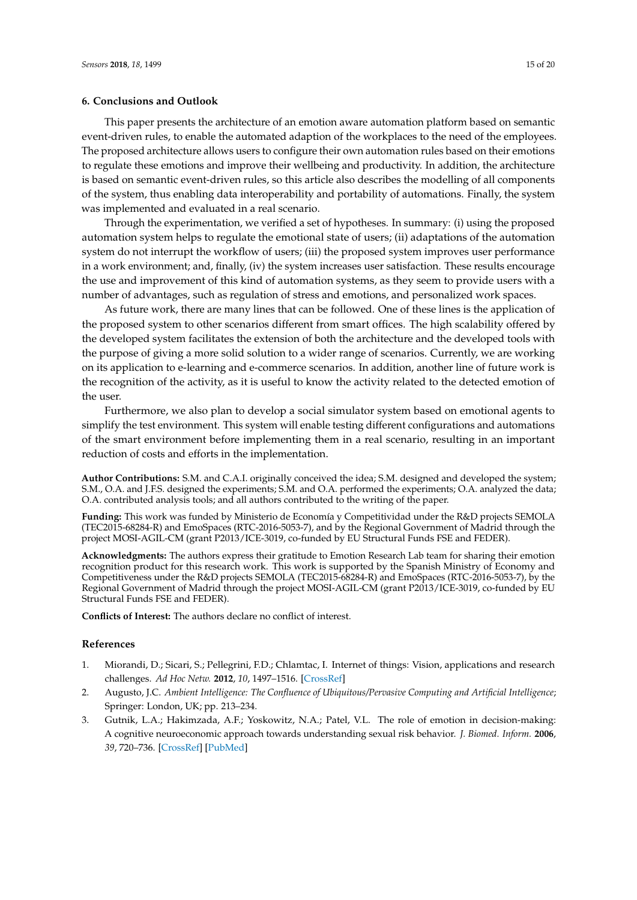# <span id="page-14-3"></span>**6. Conclusions and Outlook**

This paper presents the architecture of an emotion aware automation platform based on semantic event-driven rules, to enable the automated adaption of the workplaces to the need of the employees. The proposed architecture allows users to configure their own automation rules based on their emotions to regulate these emotions and improve their wellbeing and productivity. In addition, the architecture is based on semantic event-driven rules, so this article also describes the modelling of all components of the system, thus enabling data interoperability and portability of automations. Finally, the system was implemented and evaluated in a real scenario.

Through the experimentation, we verified a set of hypotheses. In summary: (i) using the proposed automation system helps to regulate the emotional state of users; (ii) adaptations of the automation system do not interrupt the workflow of users; (iii) the proposed system improves user performance in a work environment; and, finally, (iv) the system increases user satisfaction. These results encourage the use and improvement of this kind of automation systems, as they seem to provide users with a number of advantages, such as regulation of stress and emotions, and personalized work spaces.

As future work, there are many lines that can be followed. One of these lines is the application of the proposed system to other scenarios different from smart offices. The high scalability offered by the developed system facilitates the extension of both the architecture and the developed tools with the purpose of giving a more solid solution to a wider range of scenarios. Currently, we are working on its application to e-learning and e-commerce scenarios. In addition, another line of future work is the recognition of the activity, as it is useful to know the activity related to the detected emotion of the user.

Furthermore, we also plan to develop a social simulator system based on emotional agents to simplify the test environment. This system will enable testing different configurations and automations of the smart environment before implementing them in a real scenario, resulting in an important reduction of costs and efforts in the implementation.

**Author Contributions:** S.M. and C.A.I. originally conceived the idea; S.M. designed and developed the system; S.M., O.A. and J.F.S. designed the experiments; S.M. and O.A. performed the experiments; O.A. analyzed the data; O.A. contributed analysis tools; and all authors contributed to the writing of the paper.

**Funding:** This work was funded by Ministerio de Economía y Competitividad under the R&D projects SEMOLA (TEC2015-68284-R) and EmoSpaces (RTC-2016-5053-7), and by the Regional Government of Madrid through the project MOSI-AGIL-CM (grant P2013/ICE-3019, co-funded by EU Structural Funds FSE and FEDER).

**Acknowledgments:** The authors express their gratitude to Emotion Research Lab team for sharing their emotion recognition product for this research work. This work is supported by the Spanish Ministry of Economy and Competitiveness under the R&D projects SEMOLA (TEC2015-68284-R) and EmoSpaces (RTC-2016-5053-7), by the Regional Government of Madrid through the project MOSI-AGIL-CM (grant P2013/ICE-3019, co-funded by EU Structural Funds FSE and FEDER).

**Conflicts of Interest:** The authors declare no conflict of interest.

#### **References**

- <span id="page-14-0"></span>1. Miorandi, D.; Sicari, S.; Pellegrini, F.D.; Chlamtac, I. Internet of things: Vision, applications and research challenges. *Ad Hoc Netw.* **2012**, *10*, 1497–1516. [\[CrossRef\]](http://dx.doi.org/10.1016/j.adhoc.2012.02.016)
- <span id="page-14-1"></span>2. Augusto, J.C. *Ambient Intelligence: The Confluence of Ubiquitous/Pervasive Computing and Artificial Intelligence*; Springer: London, UK; pp. 213–234.
- <span id="page-14-2"></span>3. Gutnik, L.A.; Hakimzada, A.F.; Yoskowitz, N.A.; Patel, V.L. The role of emotion in decision-making: A cognitive neuroeconomic approach towards understanding sexual risk behavior. *J. Biomed. Inform.* **2006**, *39*, 720–736. [\[CrossRef\]](http://dx.doi.org/10.1016/j.jbi.2006.03.002) [\[PubMed\]](http://www.ncbi.nlm.nih.gov/pubmed/16759915)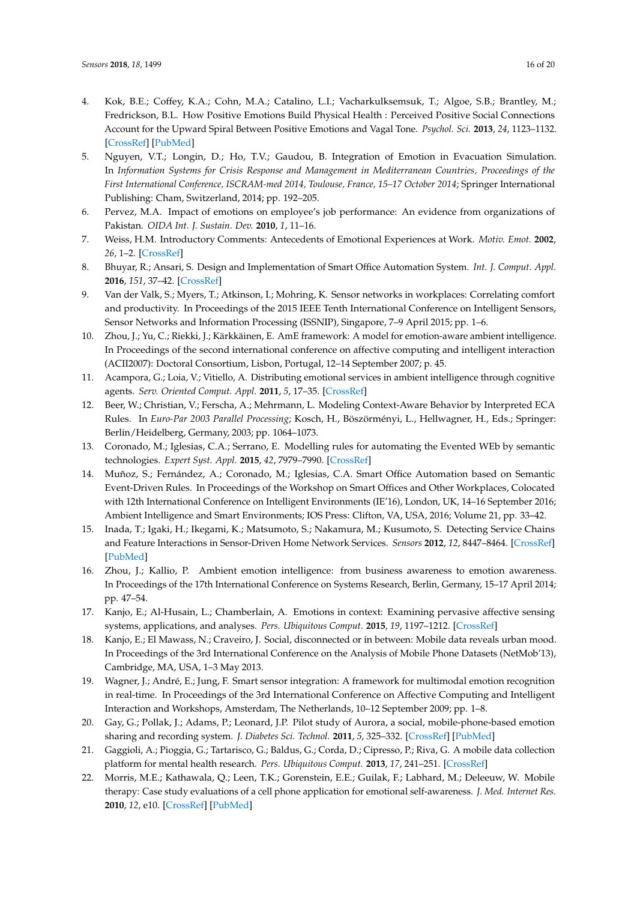- <span id="page-15-0"></span>4. Kok, B.E.; Coffey, K.A.; Cohn, M.A.; Catalino, L.I.; Vacharkulksemsuk, T.; Algoe, S.B.; Brantley, M.; Fredrickson, B.L. How Positive Emotions Build Physical Health : Perceived Positive Social Connections Account for the Upward Spiral Between Positive Emotions and Vagal Tone. *Psychol. Sci.* **2013**, *24*, 1123–1132. [\[CrossRef\]](http://dx.doi.org/10.1177/0956797612470827) [\[PubMed\]](http://www.ncbi.nlm.nih.gov/pubmed/23649562)
- <span id="page-15-1"></span>5. Nguyen, V.T.; Longin, D.; Ho, T.V.; Gaudou, B. Integration of Emotion in Evacuation Simulation. In *Information Systems for Crisis Response and Management in Mediterranean Countries, Proceedings of the First International Conference, ISCRAM-med 2014, Toulouse, France, 15–17 October 2014*; Springer International Publishing: Cham, Switzerland, 2014; pp. 192–205.
- <span id="page-15-2"></span>6. Pervez, M.A. Impact of emotions on employee's job performance: An evidence from organizations of Pakistan. *OIDA Int. J. Sustain. Dev.* **2010**, *1*, 11–16.
- <span id="page-15-3"></span>7. Weiss, H.M. Introductory Comments: Antecedents of Emotional Experiences at Work. *Motiv. Emot.* **2002**, *26*, 1–2. [\[CrossRef\]](http://dx.doi.org/10.1023/A:1015138223398)
- <span id="page-15-4"></span>8. Bhuyar, R.; Ansari, S. Design and Implementation of Smart Office Automation System. *Int. J. Comput. Appl.* **2016**, *151*, 37–42. [\[CrossRef\]](http://dx.doi.org/10.5120/ijca2016911716)
- <span id="page-15-5"></span>9. Van der Valk, S.; Myers, T.; Atkinson, I.; Mohring, K. Sensor networks in workplaces: Correlating comfort and productivity. In Proceedings of the 2015 IEEE Tenth International Conference on Intelligent Sensors, Sensor Networks and Information Processing (ISSNIP), Singapore, 7–9 April 2015; pp. 1–6.
- <span id="page-15-6"></span>10. Zhou, J.; Yu, C.; Riekki, J.; Kärkkäinen, E. AmE framework: A model for emotion-aware ambient intelligence. In Proceedings of the second international conference on affective computing and intelligent interaction (ACII2007): Doctoral Consortium, Lisbon, Portugal, 12–14 September 2007; p. 45.
- <span id="page-15-7"></span>11. Acampora, G.; Loia, V.; Vitiello, A. Distributing emotional services in ambient intelligence through cognitive agents. *Serv. Oriented Comput. Appl.* **2011**, *5*, 17–35. [\[CrossRef\]](http://dx.doi.org/10.1007/s11761-011-0078-7)
- <span id="page-15-8"></span>12. Beer, W.; Christian, V.; Ferscha, A.; Mehrmann, L. Modeling Context-Aware Behavior by Interpreted ECA Rules. In *Euro-Par 2003 Parallel Processing*; Kosch, H., Böszörményi, L., Hellwagner, H., Eds.; Springer: Berlin/Heidelberg, Germany, 2003; pp. 1064–1073.
- <span id="page-15-9"></span>13. Coronado, M.; Iglesias, C.A.; Serrano, E. Modelling rules for automating the Evented WEb by semantic technologies. *Expert Syst. Appl.* **2015**, *42*, 7979–7990. [\[CrossRef\]](http://dx.doi.org/10.1016/j.eswa.2015.06.031)
- <span id="page-15-10"></span>14. Muñoz, S.; Fernández, A.; Coronado, M.; Iglesias, C.A. Smart Office Automation based on Semantic Event-Driven Rules. In Proceedings of the Workshop on Smart Offices and Other Workplaces, Colocated with 12th International Conference on Intelligent Environments (IE'16), London, UK, 14–16 September 2016; Ambient Intelligence and Smart Environments; IOS Press: Clifton, VA, USA, 2016; Volume 21, pp. 33–42.
- <span id="page-15-11"></span>15. Inada, T.; Igaki, H.; Ikegami, K.; Matsumoto, S.; Nakamura, M.; Kusumoto, S. Detecting Service Chains and Feature Interactions in Sensor-Driven Home Network Services. *Sensors* **2012**, *12*, 8447–8464. [\[CrossRef\]](http://dx.doi.org/10.3390/s120708447) [\[PubMed\]](http://www.ncbi.nlm.nih.gov/pubmed/23012499)
- <span id="page-15-12"></span>16. Zhou, J.; Kallio, P. Ambient emotion intelligence: from business awareness to emotion awareness. In Proceedings of the 17th International Conference on Systems Research, Berlin, Germany, 15–17 April 2014; pp. 47–54.
- <span id="page-15-13"></span>17. Kanjo, E.; Al-Husain, L.; Chamberlain, A. Emotions in context: Examining pervasive affective sensing systems, applications, and analyses. *Pers. Ubiquitous Comput.* **2015**, *19*, 1197–1212. [\[CrossRef\]](http://dx.doi.org/10.1007/s00779-015-0842-3)
- <span id="page-15-14"></span>18. Kanjo, E.; El Mawass, N.; Craveiro, J. Social, disconnected or in between: Mobile data reveals urban mood. In Proceedings of the 3rd International Conference on the Analysis of Mobile Phone Datasets (NetMob'13), Cambridge, MA, USA, 1–3 May 2013.
- <span id="page-15-15"></span>19. Wagner, J.; André, E.; Jung, F. Smart sensor integration: A framework for multimodal emotion recognition in real-time. In Proceedings of the 3rd International Conference on Affective Computing and Intelligent Interaction and Workshops, Amsterdam, The Netherlands, 10–12 September 2009; pp. 1–8.
- <span id="page-15-16"></span>20. Gay, G.; Pollak, J.; Adams, P.; Leonard, J.P. Pilot study of Aurora, a social, mobile-phone-based emotion sharing and recording system. *J. Diabetes Sci. Technol.* **2011**, *5*, 325–332. [\[CrossRef\]](http://dx.doi.org/10.1177/193229681100500219) [\[PubMed\]](http://www.ncbi.nlm.nih.gov/pubmed/21527101)
- <span id="page-15-17"></span>21. Gaggioli, A.; Pioggia, G.; Tartarisco, G.; Baldus, G.; Corda, D.; Cipresso, P.; Riva, G. A mobile data collection platform for mental health research. *Pers. Ubiquitous Comput.* **2013**, *17*, 241–251. [\[CrossRef\]](http://dx.doi.org/10.1007/s00779-011-0465-2)
- <span id="page-15-18"></span>22. Morris, M.E.; Kathawala, Q.; Leen, T.K.; Gorenstein, E.E.; Guilak, F.; Labhard, M.; Deleeuw, W. Mobile therapy: Case study evaluations of a cell phone application for emotional self-awareness. *J. Med. Internet Res.* **2010**, *12*, e10. [\[CrossRef\]](http://dx.doi.org/10.2196/jmir.1371) [\[PubMed\]](http://www.ncbi.nlm.nih.gov/pubmed/20439251)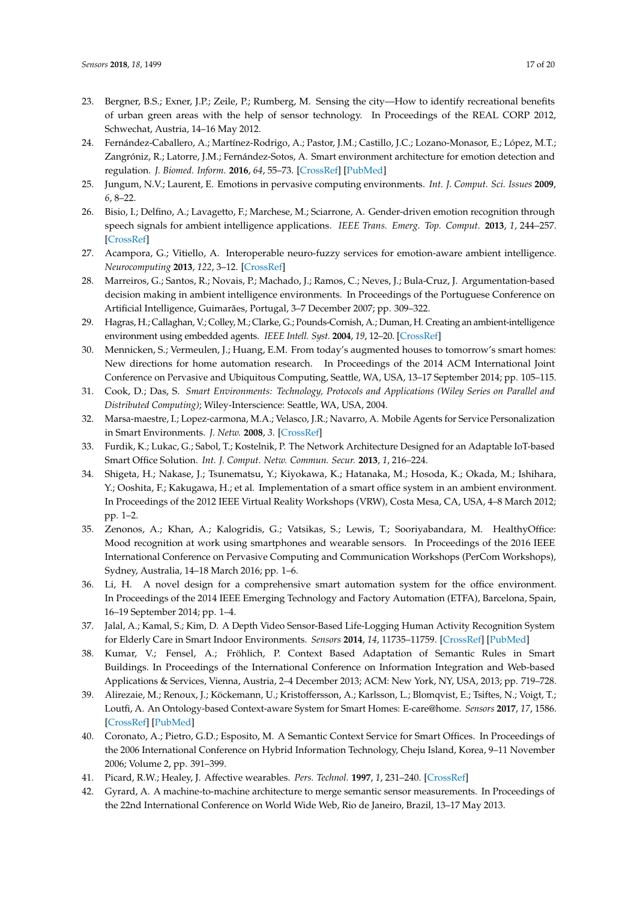- <span id="page-16-0"></span>23. Bergner, B.S.; Exner, J.P.; Zeile, P.; Rumberg, M. Sensing the city—How to identify recreational benefits of urban green areas with the help of sensor technology. In Proceedings of the REAL CORP 2012, Schwechat, Austria, 14–16 May 2012.
- <span id="page-16-1"></span>24. Fernández-Caballero, A.; Martínez-Rodrigo, A.; Pastor, J.M.; Castillo, J.C.; Lozano-Monasor, E.; López, M.T.; Zangróniz, R.; Latorre, J.M.; Fernández-Sotos, A. Smart environment architecture for emotion detection and regulation. *J. Biomed. Inform.* **2016**, *64*, 55–73. [\[CrossRef\]](http://dx.doi.org/10.1016/j.jbi.2016.09.015) [\[PubMed\]](http://www.ncbi.nlm.nih.gov/pubmed/27678301)
- <span id="page-16-2"></span>25. Jungum, N.V.; Laurent, E. Emotions in pervasive computing environments. *Int. J. Comput. Sci. Issues* **2009**, *6*, 8–22.
- <span id="page-16-4"></span>26. Bisio, I.; Delfino, A.; Lavagetto, F.; Marchese, M.; Sciarrone, A. Gender-driven emotion recognition through speech signals for ambient intelligence applications. *IEEE Trans. Emerg. Top. Comput.* **2013**, *1*, 244–257. [\[CrossRef\]](http://dx.doi.org/10.1109/TETC.2013.2274797)
- 27. Acampora, G.; Vitiello, A. Interoperable neuro-fuzzy services for emotion-aware ambient intelligence. *Neurocomputing* **2013**, *122*, 3–12. [\[CrossRef\]](http://dx.doi.org/10.1016/j.neucom.2013.01.046)
- <span id="page-16-5"></span>28. Marreiros, G.; Santos, R.; Novais, P.; Machado, J.; Ramos, C.; Neves, J.; Bula-Cruz, J. Argumentation-based decision making in ambient intelligence environments. In Proceedings of the Portuguese Conference on Artificial Intelligence, Guimarães, Portugal, 3–7 December 2007; pp. 309–322.
- <span id="page-16-3"></span>29. Hagras, H.; Callaghan, V.; Colley, M.; Clarke, G.; Pounds-Cornish, A.; Duman, H. Creating an ambient-intelligence environment using embedded agents. *IEEE Intell. Syst.* **2004**, *19*, 12–20. [\[CrossRef\]](http://dx.doi.org/10.1109/MIS.2004.61)
- <span id="page-16-6"></span>30. Mennicken, S.; Vermeulen, J.; Huang, E.M. From today's augmented houses to tomorrow's smart homes: New directions for home automation research. In Proceedings of the 2014 ACM International Joint Conference on Pervasive and Ubiquitous Computing, Seattle, WA, USA, 13–17 September 2014; pp. 105–115.
- <span id="page-16-7"></span>31. Cook, D.; Das, S. *Smart Environments: Technology, Protocols and Applications (Wiley Series on Parallel and Distributed Computing)*; Wiley-Interscience: Seattle, WA, USA, 2004.
- <span id="page-16-8"></span>32. Marsa-maestre, I.; Lopez-carmona, M.A.; Velasco, J.R.; Navarro, A. Mobile Agents for Service Personalization in Smart Environments. *J. Netw.* **2008**, *3*. [\[CrossRef\]](http://dx.doi.org/10.4304/jnw.3.5.30-41)
- <span id="page-16-9"></span>33. Furdik, K.; Lukac, G.; Sabol, T.; Kostelnik, P. The Network Architecture Designed for an Adaptable IoT-based Smart Office Solution. *Int. J. Comput. Netw. Commun. Secur.* **2013**, *1*, 216–224.
- <span id="page-16-10"></span>34. Shigeta, H.; Nakase, J.; Tsunematsu, Y.; Kiyokawa, K.; Hatanaka, M.; Hosoda, K.; Okada, M.; Ishihara, Y.; Ooshita, F.; Kakugawa, H.; et al. Implementation of a smart office system in an ambient environment. In Proceedings of the 2012 IEEE Virtual Reality Workshops (VRW), Costa Mesa, CA, USA, 4–8 March 2012; pp. 1–2.
- <span id="page-16-11"></span>35. Zenonos, A.; Khan, A.; Kalogridis, G.; Vatsikas, S.; Lewis, T.; Sooriyabandara, M. HealthyOffice: Mood recognition at work using smartphones and wearable sensors. In Proceedings of the 2016 IEEE International Conference on Pervasive Computing and Communication Workshops (PerCom Workshops), Sydney, Australia, 14–18 March 2016; pp. 1–6.
- <span id="page-16-12"></span>36. Li, H. A novel design for a comprehensive smart automation system for the office environment. In Proceedings of the 2014 IEEE Emerging Technology and Factory Automation (ETFA), Barcelona, Spain, 16–19 September 2014; pp. 1–4.
- <span id="page-16-13"></span>37. Jalal, A.; Kamal, S.; Kim, D. A Depth Video Sensor-Based Life-Logging Human Activity Recognition System for Elderly Care in Smart Indoor Environments. *Sensors* **2014**, *14*, 11735–11759. [\[CrossRef\]](http://dx.doi.org/10.3390/s140711735) [\[PubMed\]](http://www.ncbi.nlm.nih.gov/pubmed/24991942)
- <span id="page-16-14"></span>38. Kumar, V.; Fensel, A.; Fröhlich, P. Context Based Adaptation of Semantic Rules in Smart Buildings. In Proceedings of the International Conference on Information Integration and Web-based Applications & Services, Vienna, Austria, 2–4 December 2013; ACM: New York, NY, USA, 2013; pp. 719–728.
- <span id="page-16-15"></span>39. Alirezaie, M.; Renoux, J.; Köckemann, U.; Kristoffersson, A.; Karlsson, L.; Blomqvist, E.; Tsiftes, N.; Voigt, T.; Loutfi, A. An Ontology-based Context-aware System for Smart Homes: E-care@home. *Sensors* **2017**, *17*, 1586. [\[CrossRef\]](http://dx.doi.org/10.3390/s17071586) [\[PubMed\]](http://www.ncbi.nlm.nih.gov/pubmed/28684686)
- <span id="page-16-16"></span>40. Coronato, A.; Pietro, G.D.; Esposito, M. A Semantic Context Service for Smart Offices. In Proceedings of the 2006 International Conference on Hybrid Information Technology, Cheju Island, Korea, 9–11 November 2006; Volume 2, pp. 391–399.
- <span id="page-16-17"></span>41. Picard, R.W.; Healey, J. Affective wearables. *Pers. Technol.* **1997**, *1*, 231–240. [\[CrossRef\]](http://dx.doi.org/10.1007/BF01682026)
- <span id="page-16-18"></span>42. Gyrard, A. A machine-to-machine architecture to merge semantic sensor measurements. In Proceedings of the 22nd International Conference on World Wide Web, Rio de Janeiro, Brazil, 13–17 May 2013.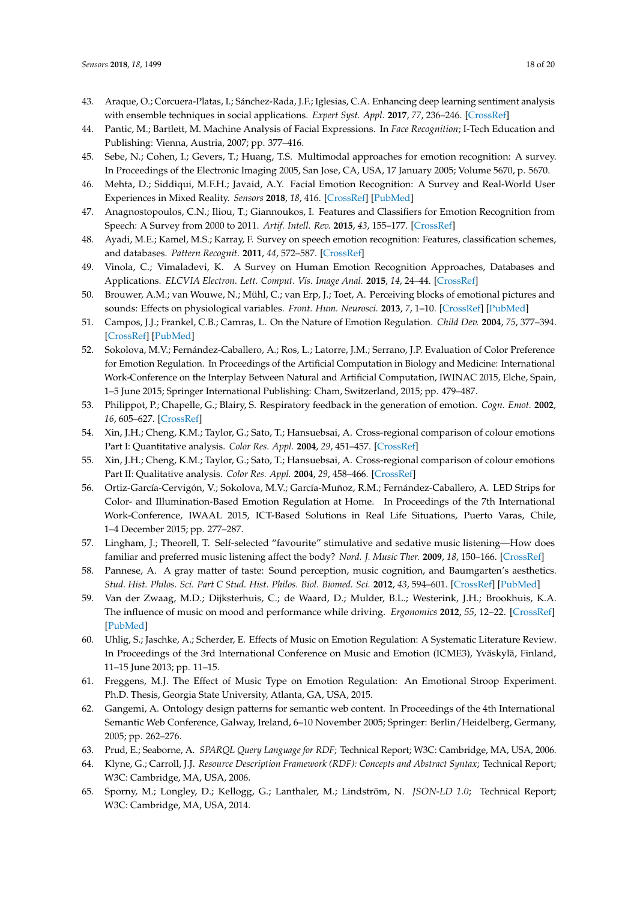- <span id="page-17-0"></span>43. Araque, O.; Corcuera-Platas, I.; Sánchez-Rada, J.F.; Iglesias, C.A. Enhancing deep learning sentiment analysis with ensemble techniques in social applications. *Expert Syst. Appl.* **2017**, *77*, 236–246. [\[CrossRef\]](http://dx.doi.org/10.1016/j.eswa.2017.02.002)
- <span id="page-17-1"></span>44. Pantic, M.; Bartlett, M. Machine Analysis of Facial Expressions. In *Face Recognition*; I-Tech Education and Publishing: Vienna, Austria, 2007; pp. 377–416.
- <span id="page-17-2"></span>45. Sebe, N.; Cohen, I.; Gevers, T.; Huang, T.S. Multimodal approaches for emotion recognition: A survey. In Proceedings of the Electronic Imaging 2005, San Jose, CA, USA, 17 January 2005; Volume 5670, p. 5670.
- <span id="page-17-3"></span>46. Mehta, D.; Siddiqui, M.F.H.; Javaid, A.Y. Facial Emotion Recognition: A Survey and Real-World User Experiences in Mixed Reality. *Sensors* **2018**, *18*, 416. [\[CrossRef\]](http://dx.doi.org/10.3390/s18020416) [\[PubMed\]](http://www.ncbi.nlm.nih.gov/pubmed/29389845)
- <span id="page-17-4"></span>47. Anagnostopoulos, C.N.; Iliou, T.; Giannoukos, I. Features and Classifiers for Emotion Recognition from Speech: A Survey from 2000 to 2011. *Artif. Intell. Rev.* **2015**, *43*, 155–177. [\[CrossRef\]](http://dx.doi.org/10.1007/s10462-012-9368-5)
- <span id="page-17-5"></span>48. Ayadi, M.E.; Kamel, M.S.; Karray, F. Survey on speech emotion recognition: Features, classification schemes, and databases. *Pattern Recognit.* **2011**, *44*, 572–587. [\[CrossRef\]](http://dx.doi.org/10.1016/j.patcog.2010.09.020)
- <span id="page-17-6"></span>49. Vinola, C.; Vimaladevi, K. A Survey on Human Emotion Recognition Approaches, Databases and Applications. *ELCVIA Electron. Lett. Comput. Vis. Image Anal.* **2015**, *14*, 24–44. [\[CrossRef\]](http://dx.doi.org/10.5565/rev/elcvia.795)
- <span id="page-17-7"></span>50. Brouwer, A.M.; van Wouwe, N.; Mühl, C.; van Erp, J.; Toet, A. Perceiving blocks of emotional pictures and sounds: Effects on physiological variables. *Front. Hum. Neurosci.* **2013**, *7*, 1–10. [\[CrossRef\]](http://dx.doi.org/10.3389/fnhum.2013.00295) [\[PubMed\]](http://www.ncbi.nlm.nih.gov/pubmed/23801957)
- <span id="page-17-8"></span>51. Campos, J.J.; Frankel, C.B.; Camras, L. On the Nature of Emotion Regulation. *Child Dev.* **2004**, *75*, 377–394. [\[CrossRef\]](http://dx.doi.org/10.1111/j.1467-8624.2004.00681.x) [\[PubMed\]](http://www.ncbi.nlm.nih.gov/pubmed/15056194)
- <span id="page-17-9"></span>52. Sokolova, M.V.; Fernández-Caballero, A.; Ros, L.; Latorre, J.M.; Serrano, J.P. Evaluation of Color Preference for Emotion Regulation. In Proceedings of the Artificial Computation in Biology and Medicine: International Work-Conference on the Interplay Between Natural and Artificial Computation, IWINAC 2015, Elche, Spain, 1–5 June 2015; Springer International Publishing: Cham, Switzerland, 2015; pp. 479–487.
- <span id="page-17-10"></span>53. Philippot, P.; Chapelle, G.; Blairy, S. Respiratory feedback in the generation of emotion. *Cogn. Emot.* **2002**, *16*, 605–627. [\[CrossRef\]](http://dx.doi.org/10.1080/02699930143000392)
- <span id="page-17-11"></span>54. Xin, J.H.; Cheng, K.M.; Taylor, G.; Sato, T.; Hansuebsai, A. Cross-regional comparison of colour emotions Part I: Quantitative analysis. *Color Res. Appl.* **2004**, *29*, 451–457. [\[CrossRef\]](http://dx.doi.org/10.1002/col.20062)
- <span id="page-17-12"></span>55. Xin, J.H.; Cheng, K.M.; Taylor, G.; Sato, T.; Hansuebsai, A. Cross-regional comparison of colour emotions Part II: Qualitative analysis. *Color Res. Appl.* **2004**, *29*, 458–466. [\[CrossRef\]](http://dx.doi.org/10.1002/col.20063)
- <span id="page-17-13"></span>56. Ortiz-García-Cervigón, V.; Sokolova, M.V.; García-Muñoz, R.M.; Fernández-Caballero, A. LED Strips for Color- and Illumination-Based Emotion Regulation at Home. In Proceedings of the 7th International Work-Conference, IWAAL 2015, ICT-Based Solutions in Real Life Situations, Puerto Varas, Chile, 1–4 December 2015; pp. 277–287.
- <span id="page-17-14"></span>57. Lingham, J.; Theorell, T. Self-selected "favourite" stimulative and sedative music listening—How does familiar and preferred music listening affect the body? *Nord. J. Music Ther.* **2009**, *18*, 150–166. [\[CrossRef\]](http://dx.doi.org/10.1080/08098130903062363)
- <span id="page-17-15"></span>58. Pannese, A. A gray matter of taste: Sound perception, music cognition, and Baumgarten's aesthetics. *Stud. Hist. Philos. Sci. Part C Stud. Hist. Philos. Biol. Biomed. Sci.* **2012**, *43*, 594–601. [\[CrossRef\]](http://dx.doi.org/10.1016/j.shpsc.2012.03.001) [\[PubMed\]](http://www.ncbi.nlm.nih.gov/pubmed/22584037)
- <span id="page-17-16"></span>59. Van der Zwaag, M.D.; Dijksterhuis, C.; de Waard, D.; Mulder, B.L.; Westerink, J.H.; Brookhuis, K.A. The influence of music on mood and performance while driving. *Ergonomics* **2012**, *55*, 12–22. [\[CrossRef\]](http://dx.doi.org/10.1080/00140139.2011.638403) [\[PubMed\]](http://www.ncbi.nlm.nih.gov/pubmed/22176481)
- <span id="page-17-17"></span>60. Uhlig, S.; Jaschke, A.; Scherder, E. Effects of Music on Emotion Regulation: A Systematic Literature Review. In Proceedings of the 3rd International Conference on Music and Emotion (ICME3), Yväskylä, Finland, 11–15 June 2013; pp. 11–15.
- <span id="page-17-18"></span>61. Freggens, M.J. The Effect of Music Type on Emotion Regulation: An Emotional Stroop Experiment. Ph.D. Thesis, Georgia State University, Atlanta, GA, USA, 2015.
- <span id="page-17-19"></span>62. Gangemi, A. Ontology design patterns for semantic web content. In Proceedings of the 4th International Semantic Web Conference, Galway, Ireland, 6–10 November 2005; Springer: Berlin/Heidelberg, Germany, 2005; pp. 262–276.
- <span id="page-17-20"></span>63. Prud, E.; Seaborne, A. *SPARQL Query Language for RDF*; Technical Report; W3C: Cambridge, MA, USA, 2006.
- 64. Klyne, G.; Carroll, J.J. *Resource Description Framework (RDF): Concepts and Abstract Syntax*; Technical Report; W3C: Cambridge, MA, USA, 2006.
- <span id="page-17-21"></span>65. Sporny, M.; Longley, D.; Kellogg, G.; Lanthaler, M.; Lindström, N. *JSON-LD 1.0*; Technical Report; W3C: Cambridge, MA, USA, 2014.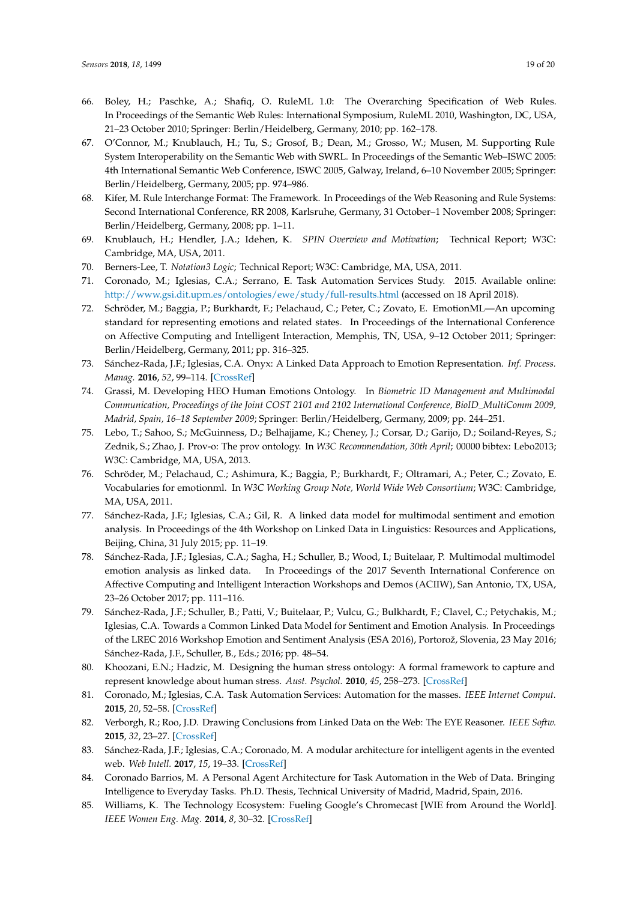- <span id="page-18-0"></span>66. Boley, H.; Paschke, A.; Shafiq, O. RuleML 1.0: The Overarching Specification of Web Rules. In Proceedings of the Semantic Web Rules: International Symposium, RuleML 2010, Washington, DC, USA, 21–23 October 2010; Springer: Berlin/Heidelberg, Germany, 2010; pp. 162–178.
- <span id="page-18-1"></span>67. O'Connor, M.; Knublauch, H.; Tu, S.; Grosof, B.; Dean, M.; Grosso, W.; Musen, M. Supporting Rule System Interoperability on the Semantic Web with SWRL. In Proceedings of the Semantic Web–ISWC 2005: 4th International Semantic Web Conference, ISWC 2005, Galway, Ireland, 6–10 November 2005; Springer: Berlin/Heidelberg, Germany, 2005; pp. 974–986.
- <span id="page-18-2"></span>68. Kifer, M. Rule Interchange Format: The Framework. In Proceedings of the Web Reasoning and Rule Systems: Second International Conference, RR 2008, Karlsruhe, Germany, 31 October–1 November 2008; Springer: Berlin/Heidelberg, Germany, 2008; pp. 1–11.
- <span id="page-18-3"></span>69. Knublauch, H.; Hendler, J.A.; Idehen, K. *SPIN Overview and Motivation*; Technical Report; W3C: Cambridge, MA, USA, 2011.
- <span id="page-18-4"></span>70. Berners-Lee, T. *Notation3 Logic*; Technical Report; W3C: Cambridge, MA, USA, 2011.
- <span id="page-18-5"></span>71. Coronado, M.; Iglesias, C.A.; Serrano, E. Task Automation Services Study. 2015. Available online: <http://www.gsi.dit.upm.es/ontologies/ewe/study/full-results.html> (accessed on 18 April 2018).
- <span id="page-18-6"></span>72. Schröder, M.; Baggia, P.; Burkhardt, F.; Pelachaud, C.; Peter, C.; Zovato, E. EmotionML—An upcoming standard for representing emotions and related states. In Proceedings of the International Conference on Affective Computing and Intelligent Interaction, Memphis, TN, USA, 9–12 October 2011; Springer: Berlin/Heidelberg, Germany, 2011; pp. 316–325.
- <span id="page-18-7"></span>73. Sánchez-Rada, J.F.; Iglesias, C.A. Onyx: A Linked Data Approach to Emotion Representation. *Inf. Process. Manag.* **2016**, *52*, 99–114. [\[CrossRef\]](http://dx.doi.org/10.1016/j.ipm.2015.03.007)
- <span id="page-18-8"></span>74. Grassi, M. Developing HEO Human Emotions Ontology. In *Biometric ID Management and Multimodal Communication, Proceedings of the Joint COST 2101 and 2102 International Conference, BioID\_MultiComm 2009, Madrid, Spain, 16–18 September 2009*; Springer: Berlin/Heidelberg, Germany, 2009; pp. 244–251.
- <span id="page-18-9"></span>75. Lebo, T.; Sahoo, S.; McGuinness, D.; Belhajjame, K.; Cheney, J.; Corsar, D.; Garijo, D.; Soiland-Reyes, S.; Zednik, S.; Zhao, J. Prov-o: The prov ontology. In *W3C Recommendation, 30th April*; 00000 bibtex: Lebo2013; W3C: Cambridge, MA, USA, 2013.
- <span id="page-18-10"></span>76. Schröder, M.; Pelachaud, C.; Ashimura, K.; Baggia, P.; Burkhardt, F.; Oltramari, A.; Peter, C.; Zovato, E. Vocabularies for emotionml. In *W3C Working Group Note, World Wide Web Consortium*; W3C: Cambridge, MA, USA, 2011.
- <span id="page-18-11"></span>77. Sánchez-Rada, J.F.; Iglesias, C.A.; Gil, R. A linked data model for multimodal sentiment and emotion analysis. In Proceedings of the 4th Workshop on Linked Data in Linguistics: Resources and Applications, Beijing, China, 31 July 2015; pp. 11–19.
- <span id="page-18-12"></span>78. Sánchez-Rada, J.F.; Iglesias, C.A.; Sagha, H.; Schuller, B.; Wood, I.; Buitelaar, P. Multimodal multimodel emotion analysis as linked data. In Proceedings of the 2017 Seventh International Conference on Affective Computing and Intelligent Interaction Workshops and Demos (ACIIW), San Antonio, TX, USA, 23–26 October 2017; pp. 111–116.
- <span id="page-18-13"></span>79. Sánchez-Rada, J.F.; Schuller, B.; Patti, V.; Buitelaar, P.; Vulcu, G.; Bulkhardt, F.; Clavel, C.; Petychakis, M.; Iglesias, C.A. Towards a Common Linked Data Model for Sentiment and Emotion Analysis. In Proceedings of the LREC 2016 Workshop Emotion and Sentiment Analysis (ESA 2016), Portorož, Slovenia, 23 May 2016; Sánchez-Rada, J.F., Schuller, B., Eds.; 2016; pp. 48–54.
- <span id="page-18-14"></span>80. Khoozani, E.N.; Hadzic, M. Designing the human stress ontology: A formal framework to capture and represent knowledge about human stress. *Aust. Psychol.* **2010**, *45*, 258–273. [\[CrossRef\]](http://dx.doi.org/10.1080/00050061003664811)
- <span id="page-18-15"></span>81. Coronado, M.; Iglesias, C.A. Task Automation Services: Automation for the masses. *IEEE Internet Comput.* **2015**, *20*, 52–58. [\[CrossRef\]](http://dx.doi.org/10.1109/MIC.2015.73)
- <span id="page-18-16"></span>82. Verborgh, R.; Roo, J.D. Drawing Conclusions from Linked Data on the Web: The EYE Reasoner. *IEEE Softw.* **2015**, *32*, 23–27. [\[CrossRef\]](http://dx.doi.org/10.1109/MS.2015.63)
- <span id="page-18-17"></span>83. Sánchez-Rada, J.F.; Iglesias, C.A.; Coronado, M. A modular architecture for intelligent agents in the evented web. *Web Intell.* **2017**, *15*, 19–33. [\[CrossRef\]](http://dx.doi.org/10.3233/WEB-170350)
- <span id="page-18-18"></span>84. Coronado Barrios, M. A Personal Agent Architecture for Task Automation in the Web of Data. Bringing Intelligence to Everyday Tasks. Ph.D. Thesis, Technical University of Madrid, Madrid, Spain, 2016.
- <span id="page-18-19"></span>85. Williams, K. The Technology Ecosystem: Fueling Google's Chromecast [WIE from Around the World]. *IEEE Women Eng. Mag.* **2014**, *8*, 30–32. [\[CrossRef\]](http://dx.doi.org/10.1109/MWIE.2014.2308799)